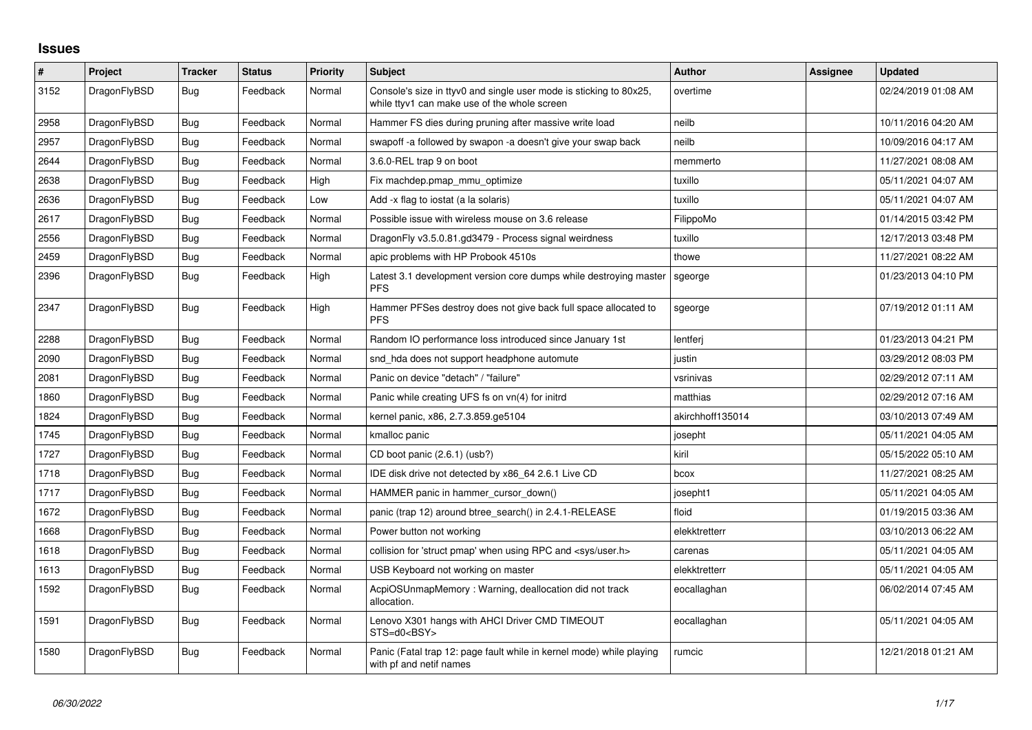## **Issues**

| $\#$ | Project      | <b>Tracker</b> | <b>Status</b> | <b>Priority</b> | <b>Subject</b>                                                                                                     | Author           | Assignee | <b>Updated</b>      |
|------|--------------|----------------|---------------|-----------------|--------------------------------------------------------------------------------------------------------------------|------------------|----------|---------------------|
| 3152 | DragonFlyBSD | <b>Bug</b>     | Feedback      | Normal          | Console's size in ttyv0 and single user mode is sticking to 80x25,<br>while ttyv1 can make use of the whole screen | overtime         |          | 02/24/2019 01:08 AM |
| 2958 | DragonFlyBSD | <b>Bug</b>     | Feedback      | Normal          | Hammer FS dies during pruning after massive write load                                                             | neilb            |          | 10/11/2016 04:20 AM |
| 2957 | DragonFlyBSD | <b>Bug</b>     | Feedback      | Normal          | swapoff -a followed by swapon -a doesn't give your swap back                                                       | neilb            |          | 10/09/2016 04:17 AM |
| 2644 | DragonFlyBSD | Bug            | Feedback      | Normal          | 3.6.0-REL trap 9 on boot                                                                                           | memmerto         |          | 11/27/2021 08:08 AM |
| 2638 | DragonFlyBSD | <b>Bug</b>     | Feedback      | High            | Fix machdep.pmap mmu optimize                                                                                      | tuxillo          |          | 05/11/2021 04:07 AM |
| 2636 | DragonFlyBSD | Bug            | Feedback      | Low             | Add -x flag to iostat (a la solaris)                                                                               | tuxillo          |          | 05/11/2021 04:07 AM |
| 2617 | DragonFlyBSD | <b>Bug</b>     | Feedback      | Normal          | Possible issue with wireless mouse on 3.6 release                                                                  | FilippoMo        |          | 01/14/2015 03:42 PM |
| 2556 | DragonFlyBSD | <b>Bug</b>     | Feedback      | Normal          | DragonFly v3.5.0.81.gd3479 - Process signal weirdness                                                              | tuxillo          |          | 12/17/2013 03:48 PM |
| 2459 | DragonFlyBSD | <b>Bug</b>     | Feedback      | Normal          | apic problems with HP Probook 4510s                                                                                | thowe            |          | 11/27/2021 08:22 AM |
| 2396 | DragonFlyBSD | <b>Bug</b>     | Feedback      | High            | Latest 3.1 development version core dumps while destroying master<br><b>PFS</b>                                    | sgeorge          |          | 01/23/2013 04:10 PM |
| 2347 | DragonFlyBSD | Bug            | Feedback      | High            | Hammer PFSes destroy does not give back full space allocated to<br><b>PFS</b>                                      | sgeorge          |          | 07/19/2012 01:11 AM |
| 2288 | DragonFlyBSD | <b>Bug</b>     | Feedback      | Normal          | Random IO performance loss introduced since January 1st                                                            | lentferi         |          | 01/23/2013 04:21 PM |
| 2090 | DragonFlyBSD | Bug            | Feedback      | Normal          | snd hda does not support headphone automute                                                                        | justin           |          | 03/29/2012 08:03 PM |
| 2081 | DragonFlyBSD | <b>Bug</b>     | Feedback      | Normal          | Panic on device "detach" / "failure"                                                                               | vsrinivas        |          | 02/29/2012 07:11 AM |
| 1860 | DragonFlyBSD | Bug            | Feedback      | Normal          | Panic while creating UFS fs on vn(4) for initrd                                                                    | matthias         |          | 02/29/2012 07:16 AM |
| 1824 | DragonFlyBSD | Bug            | Feedback      | Normal          | kernel panic, x86, 2.7.3.859.ge5104                                                                                | akirchhoff135014 |          | 03/10/2013 07:49 AM |
| 1745 | DragonFlyBSD | <b>Bug</b>     | Feedback      | Normal          | kmalloc panic                                                                                                      | josepht          |          | 05/11/2021 04:05 AM |
| 1727 | DragonFlyBSD | Bug            | Feedback      | Normal          | CD boot panic (2.6.1) (usb?)                                                                                       | kiril            |          | 05/15/2022 05:10 AM |
| 1718 | DragonFlyBSD | Bug            | Feedback      | Normal          | IDE disk drive not detected by x86 64 2.6.1 Live CD                                                                | bcox             |          | 11/27/2021 08:25 AM |
| 1717 | DragonFlyBSD | Bug            | Feedback      | Normal          | HAMMER panic in hammer_cursor_down()                                                                               | josepht1         |          | 05/11/2021 04:05 AM |
| 1672 | DragonFlyBSD | <b>Bug</b>     | Feedback      | Normal          | panic (trap 12) around btree_search() in 2.4.1-RELEASE                                                             | floid            |          | 01/19/2015 03:36 AM |
| 1668 | DragonFlyBSD | Bug            | Feedback      | Normal          | Power button not working                                                                                           | elekktretterr    |          | 03/10/2013 06:22 AM |
| 1618 | DragonFlyBSD | Bug            | Feedback      | Normal          | collision for 'struct pmap' when using RPC and <sys user.h=""></sys>                                               | carenas          |          | 05/11/2021 04:05 AM |
| 1613 | DragonFlyBSD | <b>Bug</b>     | Feedback      | Normal          | USB Keyboard not working on master                                                                                 | elekktretterr    |          | 05/11/2021 04:05 AM |
| 1592 | DragonFlyBSD | <b>Bug</b>     | Feedback      | Normal          | AcpiOSUnmapMemory: Warning, deallocation did not track<br>allocation.                                              | eocallaghan      |          | 06/02/2014 07:45 AM |
| 1591 | DragonFlyBSD | <b>Bug</b>     | Feedback      | Normal          | Lenovo X301 hangs with AHCI Driver CMD TIMEOUT<br>STS=d0 <bsy></bsy>                                               | eocallaghan      |          | 05/11/2021 04:05 AM |
| 1580 | DragonFlyBSD | Bug            | Feedback      | Normal          | Panic (Fatal trap 12: page fault while in kernel mode) while playing<br>with pf and netif names                    | rumcic           |          | 12/21/2018 01:21 AM |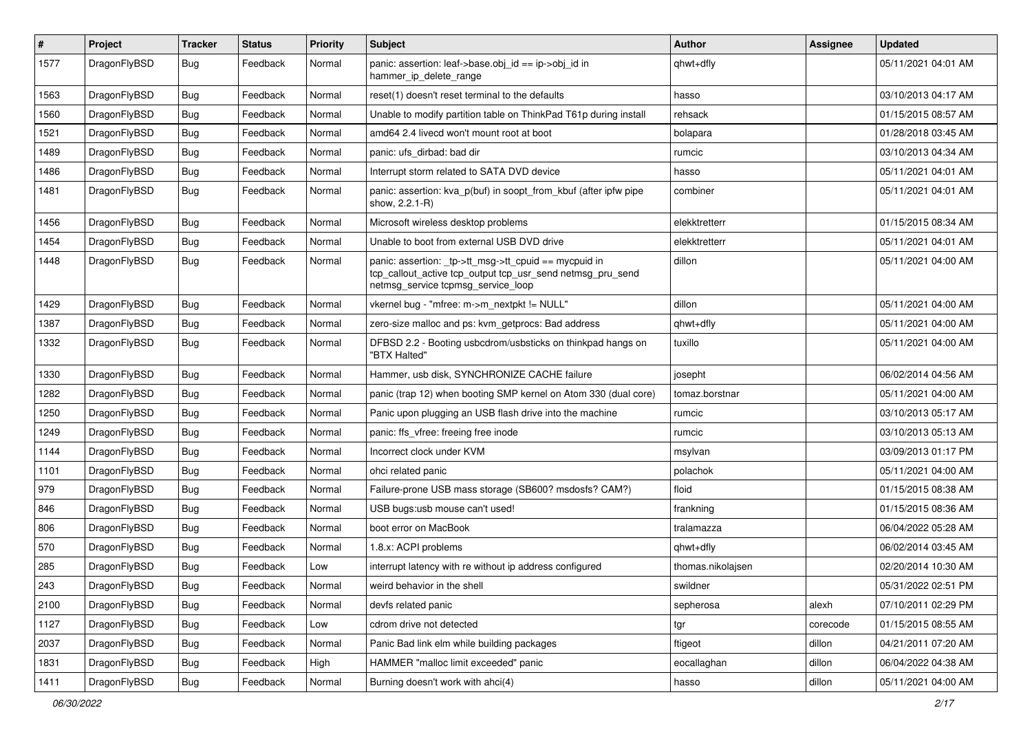| $\sharp$ | Project      | <b>Tracker</b> | <b>Status</b> | <b>Priority</b> | Subject                                                                                                                                                   | <b>Author</b>     | Assignee | <b>Updated</b>      |
|----------|--------------|----------------|---------------|-----------------|-----------------------------------------------------------------------------------------------------------------------------------------------------------|-------------------|----------|---------------------|
| 1577     | DragonFlyBSD | <b>Bug</b>     | Feedback      | Normal          | panic: assertion: leaf->base.obj_id == ip->obj_id in<br>hammer ip delete range                                                                            | qhwt+dfly         |          | 05/11/2021 04:01 AM |
| 1563     | DragonFlyBSD | <b>Bug</b>     | Feedback      | Normal          | reset(1) doesn't reset terminal to the defaults                                                                                                           | hasso             |          | 03/10/2013 04:17 AM |
| 1560     | DragonFlyBSD | <b>Bug</b>     | Feedback      | Normal          | Unable to modify partition table on ThinkPad T61p during install                                                                                          | rehsack           |          | 01/15/2015 08:57 AM |
| 1521     | DragonFlyBSD | Bug            | Feedback      | Normal          | amd64 2.4 livecd won't mount root at boot                                                                                                                 | bolapara          |          | 01/28/2018 03:45 AM |
| 1489     | DragonFlyBSD | <b>Bug</b>     | Feedback      | Normal          | panic: ufs dirbad: bad dir                                                                                                                                | rumcic            |          | 03/10/2013 04:34 AM |
| 1486     | DragonFlyBSD | <b>Bug</b>     | Feedback      | Normal          | Interrupt storm related to SATA DVD device                                                                                                                | hasso             |          | 05/11/2021 04:01 AM |
| 1481     | DragonFlyBSD | Bug            | Feedback      | Normal          | panic: assertion: kva_p(buf) in soopt_from_kbuf (after ipfw pipe<br>show, 2.2.1-R)                                                                        | combiner          |          | 05/11/2021 04:01 AM |
| 1456     | DragonFlyBSD | Bug            | Feedback      | Normal          | Microsoft wireless desktop problems                                                                                                                       | elekktretterr     |          | 01/15/2015 08:34 AM |
| 1454     | DragonFlyBSD | <b>Bug</b>     | Feedback      | Normal          | Unable to boot from external USB DVD drive                                                                                                                | elekktretterr     |          | 05/11/2021 04:01 AM |
| 1448     | DragonFlyBSD | Bug            | Feedback      | Normal          | panic: assertion: _tp->tt_msg->tt_cpuid == mycpuid in<br>tcp_callout_active tcp_output tcp_usr_send netmsg_pru_send<br>netmsg service tcpmsg service loop | dillon            |          | 05/11/2021 04:00 AM |
| 1429     | DragonFlyBSD | Bug            | Feedback      | Normal          | vkernel bug - "mfree: m->m_nextpkt != NULL"                                                                                                               | dillon            |          | 05/11/2021 04:00 AM |
| 1387     | DragonFlyBSD | <b>Bug</b>     | Feedback      | Normal          | zero-size malloc and ps: kvm getprocs: Bad address                                                                                                        | qhwt+dfly         |          | 05/11/2021 04:00 AM |
| 1332     | DragonFlyBSD | <b>Bug</b>     | Feedback      | Normal          | DFBSD 2.2 - Booting usbcdrom/usbsticks on thinkpad hangs on<br>"BTX Halted"                                                                               | tuxillo           |          | 05/11/2021 04:00 AM |
| 1330     | DragonFlyBSD | Bug            | Feedback      | Normal          | Hammer, usb disk, SYNCHRONIZE CACHE failure                                                                                                               | josepht           |          | 06/02/2014 04:56 AM |
| 1282     | DragonFlyBSD | <b>Bug</b>     | Feedback      | Normal          | panic (trap 12) when booting SMP kernel on Atom 330 (dual core)                                                                                           | tomaz.borstnar    |          | 05/11/2021 04:00 AM |
| 1250     | DragonFlyBSD | Bug            | Feedback      | Normal          | Panic upon plugging an USB flash drive into the machine                                                                                                   | rumcic            |          | 03/10/2013 05:17 AM |
| 1249     | DragonFlyBSD | <b>Bug</b>     | Feedback      | Normal          | panic: ffs vfree: freeing free inode                                                                                                                      | rumcic            |          | 03/10/2013 05:13 AM |
| 1144     | DragonFlyBSD | <b>Bug</b>     | Feedback      | Normal          | Incorrect clock under KVM                                                                                                                                 | msylvan           |          | 03/09/2013 01:17 PM |
| 1101     | DragonFlyBSD | Bug            | Feedback      | Normal          | ohci related panic                                                                                                                                        | polachok          |          | 05/11/2021 04:00 AM |
| 979      | DragonFlyBSD | <b>Bug</b>     | Feedback      | Normal          | Failure-prone USB mass storage (SB600? msdosfs? CAM?)                                                                                                     | floid             |          | 01/15/2015 08:38 AM |
| 846      | DragonFlyBSD | Bug            | Feedback      | Normal          | USB bugs:usb mouse can't used!                                                                                                                            | frankning         |          | 01/15/2015 08:36 AM |
| 806      | DragonFlyBSD | Bug            | Feedback      | Normal          | boot error on MacBook                                                                                                                                     | tralamazza        |          | 06/04/2022 05:28 AM |
| 570      | DragonFlyBSD | <b>Bug</b>     | Feedback      | Normal          | 1.8.x: ACPI problems                                                                                                                                      | qhwt+dfly         |          | 06/02/2014 03:45 AM |
| 285      | DragonFlyBSD | <b>Bug</b>     | Feedback      | Low             | interrupt latency with re without ip address configured                                                                                                   | thomas.nikolajsen |          | 02/20/2014 10:30 AM |
| 243      | DragonFlyBSD | <b>Bug</b>     | Feedback      | Normal          | weird behavior in the shell                                                                                                                               | swildner          |          | 05/31/2022 02:51 PM |
| 2100     | DragonFlyBSD | <b>Bug</b>     | Feedback      | Normal          | devfs related panic                                                                                                                                       | sepherosa         | alexh    | 07/10/2011 02:29 PM |
| 1127     | DragonFlyBSD | <b>Bug</b>     | Feedback      | Low             | cdrom drive not detected                                                                                                                                  | tgr               | corecode | 01/15/2015 08:55 AM |
| 2037     | DragonFlyBSD | <b>Bug</b>     | Feedback      | Normal          | Panic Bad link elm while building packages                                                                                                                | ftigeot           | dillon   | 04/21/2011 07:20 AM |
| 1831     | DragonFlyBSD | <b>Bug</b>     | Feedback      | High            | HAMMER "malloc limit exceeded" panic                                                                                                                      | eocallaghan       | dillon   | 06/04/2022 04:38 AM |
| 1411     | DragonFlyBSD | <b>Bug</b>     | Feedback      | Normal          | Burning doesn't work with ahci(4)                                                                                                                         | hasso             | dillon   | 05/11/2021 04:00 AM |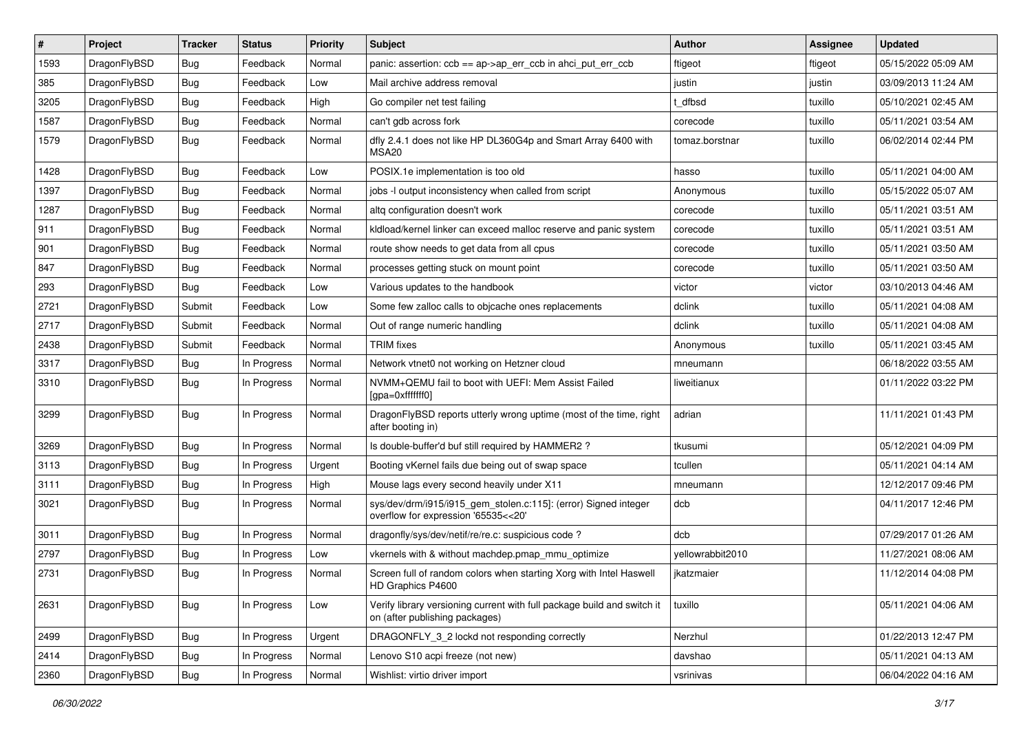| #    | Project      | <b>Tracker</b> | <b>Status</b> | <b>Priority</b> | <b>Subject</b>                                                                                            | Author           | Assignee | <b>Updated</b>      |
|------|--------------|----------------|---------------|-----------------|-----------------------------------------------------------------------------------------------------------|------------------|----------|---------------------|
| 1593 | DragonFlyBSD | Bug            | Feedback      | Normal          | panic: assertion: $ccb == ap > ap$ err $ccb$ in ahci put err $ccb$                                        | ftigeot          | ftigeot  | 05/15/2022 05:09 AM |
| 385  | DragonFlyBSD | <b>Bug</b>     | Feedback      | Low             | Mail archive address removal                                                                              | justin           | justin   | 03/09/2013 11:24 AM |
| 3205 | DragonFlyBSD | Bug            | Feedback      | High            | Go compiler net test failing                                                                              | t dfbsd          | tuxillo  | 05/10/2021 02:45 AM |
| 1587 | DragonFlyBSD | Bug            | Feedback      | Normal          | can't gdb across fork                                                                                     | corecode         | tuxillo  | 05/11/2021 03:54 AM |
| 1579 | DragonFlyBSD | Bug            | Feedback      | Normal          | dfly 2.4.1 does not like HP DL360G4p and Smart Array 6400 with<br>MSA20                                   | tomaz.borstnar   | tuxillo  | 06/02/2014 02:44 PM |
| 1428 | DragonFlyBSD | Bug            | Feedback      | Low             | POSIX.1e implementation is too old                                                                        | hasso            | tuxillo  | 05/11/2021 04:00 AM |
| 1397 | DragonFlyBSD | <b>Bug</b>     | Feedback      | Normal          | jobs -I output inconsistency when called from script                                                      | Anonymous        | tuxillo  | 05/15/2022 05:07 AM |
| 1287 | DragonFlyBSD | Bug            | Feedback      | Normal          | altg configuration doesn't work                                                                           | corecode         | tuxillo  | 05/11/2021 03:51 AM |
| 911  | DragonFlyBSD | <b>Bug</b>     | Feedback      | Normal          | kldload/kernel linker can exceed malloc reserve and panic system                                          | corecode         | tuxillo  | 05/11/2021 03:51 AM |
| 901  | DragonFlyBSD | <b>Bug</b>     | Feedback      | Normal          | route show needs to get data from all cpus                                                                | corecode         | tuxillo  | 05/11/2021 03:50 AM |
| 847  | DragonFlyBSD | Bug            | Feedback      | Normal          | processes getting stuck on mount point                                                                    | corecode         | tuxillo  | 05/11/2021 03:50 AM |
| 293  | DragonFlyBSD | <b>Bug</b>     | Feedback      | Low             | Various updates to the handbook                                                                           | victor           | victor   | 03/10/2013 04:46 AM |
| 2721 | DragonFlyBSD | Submit         | Feedback      | Low             | Some few zalloc calls to objcache ones replacements                                                       | dclink           | tuxillo  | 05/11/2021 04:08 AM |
| 2717 | DragonFlyBSD | Submit         | Feedback      | Normal          | Out of range numeric handling                                                                             | dclink           | tuxillo  | 05/11/2021 04:08 AM |
| 2438 | DragonFlyBSD | Submit         | Feedback      | Normal          | <b>TRIM</b> fixes                                                                                         | Anonymous        | tuxillo  | 05/11/2021 03:45 AM |
| 3317 | DragonFlyBSD | Bug            | In Progress   | Normal          | Network vtnet0 not working on Hetzner cloud                                                               | mneumann         |          | 06/18/2022 03:55 AM |
| 3310 | DragonFlyBSD | <b>Bug</b>     | In Progress   | Normal          | NVMM+QEMU fail to boot with UEFI: Mem Assist Failed<br>[gpa=0xfffffff0]                                   | liweitianux      |          | 01/11/2022 03:22 PM |
| 3299 | DragonFlyBSD | Bug            | In Progress   | Normal          | DragonFlyBSD reports utterly wrong uptime (most of the time, right<br>after booting in)                   | adrian           |          | 11/11/2021 01:43 PM |
| 3269 | DragonFlyBSD | <b>Bug</b>     | In Progress   | Normal          | Is double-buffer'd buf still required by HAMMER2 ?                                                        | tkusumi          |          | 05/12/2021 04:09 PM |
| 3113 | DragonFlyBSD | <b>Bug</b>     | In Progress   | Urgent          | Booting vKernel fails due being out of swap space                                                         | tcullen          |          | 05/11/2021 04:14 AM |
| 3111 | DragonFlyBSD | <b>Bug</b>     | In Progress   | High            | Mouse lags every second heavily under X11                                                                 | mneumann         |          | 12/12/2017 09:46 PM |
| 3021 | DragonFlyBSD | Bug            | In Progress   | Normal          | sys/dev/drm/i915/i915_gem_stolen.c:115]: (error) Signed integer<br>overflow for expression '65535<<20'    | dcb              |          | 04/11/2017 12:46 PM |
| 3011 | DragonFlyBSD | <b>Bug</b>     | In Progress   | Normal          | dragonfly/sys/dev/netif/re/re.c: suspicious code ?                                                        | dcb              |          | 07/29/2017 01:26 AM |
| 2797 | DragonFlyBSD | Bug            | In Progress   | Low             | vkernels with & without machdep.pmap_mmu_optimize                                                         | yellowrabbit2010 |          | 11/27/2021 08:06 AM |
| 2731 | DragonFlyBSD | <b>Bug</b>     | In Progress   | Normal          | Screen full of random colors when starting Xorg with Intel Haswell<br>HD Graphics P4600                   | ikatzmaier       |          | 11/12/2014 04:08 PM |
| 2631 | DragonFlyBSD | Bug            | In Progress   | Low             | Verify library versioning current with full package build and switch it<br>on (after publishing packages) | tuxillo          |          | 05/11/2021 04:06 AM |
| 2499 | DragonFlyBSD | <b>Bug</b>     | In Progress   | Urgent          | DRAGONFLY_3_2 lockd not responding correctly                                                              | Nerzhul          |          | 01/22/2013 12:47 PM |
| 2414 | DragonFlyBSD | <b>Bug</b>     | In Progress   | Normal          | Lenovo S10 acpi freeze (not new)                                                                          | davshao          |          | 05/11/2021 04:13 AM |
| 2360 | DragonFlyBSD | <b>Bug</b>     | In Progress   | Normal          | Wishlist: virtio driver import                                                                            | vsrinivas        |          | 06/04/2022 04:16 AM |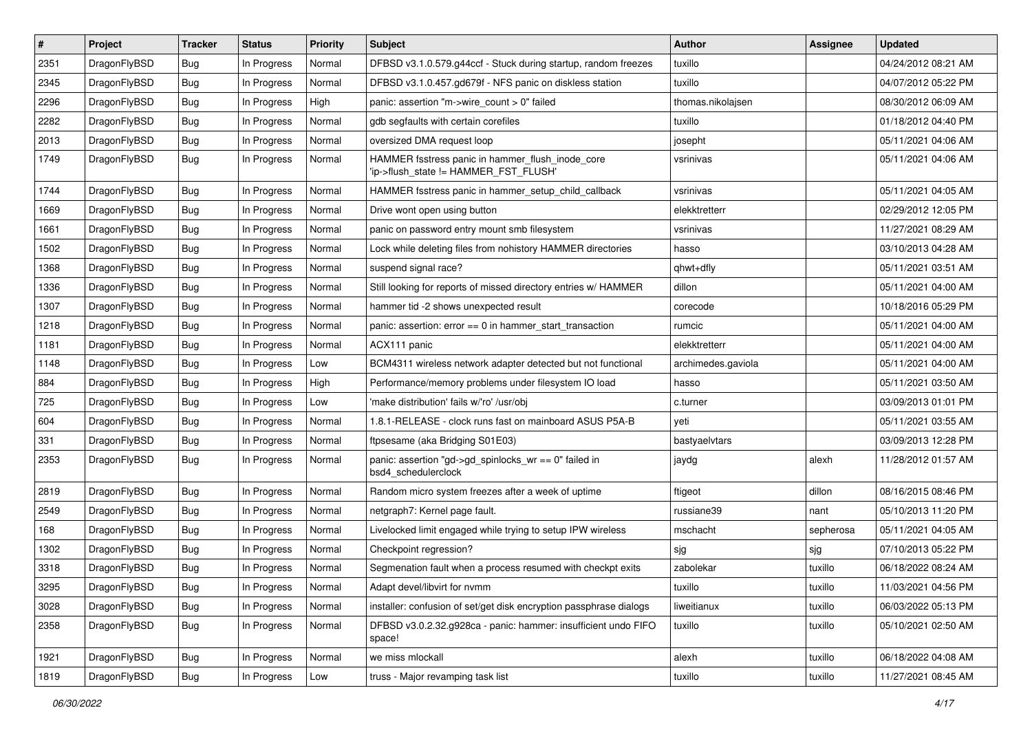| #    | Project      | <b>Tracker</b> | <b>Status</b> | <b>Priority</b> | <b>Subject</b>                                                                            | <b>Author</b>      | Assignee  | <b>Updated</b>      |
|------|--------------|----------------|---------------|-----------------|-------------------------------------------------------------------------------------------|--------------------|-----------|---------------------|
| 2351 | DragonFlyBSD | Bug            | In Progress   | Normal          | DFBSD v3.1.0.579.g44ccf - Stuck during startup, random freezes                            | tuxillo            |           | 04/24/2012 08:21 AM |
| 2345 | DragonFlyBSD | Bug            | In Progress   | Normal          | DFBSD v3.1.0.457.gd679f - NFS panic on diskless station                                   | tuxillo            |           | 04/07/2012 05:22 PM |
| 2296 | DragonFlyBSD | Bug            | In Progress   | High            | panic: assertion "m->wire count > 0" failed                                               | thomas.nikolajsen  |           | 08/30/2012 06:09 AM |
| 2282 | DragonFlyBSD | Bug            | In Progress   | Normal          | gdb segfaults with certain corefiles                                                      | tuxillo            |           | 01/18/2012 04:40 PM |
| 2013 | DragonFlyBSD | Bug            | In Progress   | Normal          | oversized DMA request loop                                                                | josepht            |           | 05/11/2021 04:06 AM |
| 1749 | DragonFlyBSD | Bug            | In Progress   | Normal          | HAMMER fsstress panic in hammer_flush_inode_core<br>'ip->flush_state != HAMMER_FST_FLUSH' | vsrinivas          |           | 05/11/2021 04:06 AM |
| 1744 | DragonFlyBSD | Bug            | In Progress   | Normal          | HAMMER fsstress panic in hammer_setup_child_callback                                      | vsrinivas          |           | 05/11/2021 04:05 AM |
| 1669 | DragonFlyBSD | Bug            | In Progress   | Normal          | Drive wont open using button                                                              | elekktretterr      |           | 02/29/2012 12:05 PM |
| 1661 | DragonFlyBSD | Bug            | In Progress   | Normal          | panic on password entry mount smb filesystem                                              | vsrinivas          |           | 11/27/2021 08:29 AM |
| 1502 | DragonFlyBSD | Bug            | In Progress   | Normal          | Lock while deleting files from nohistory HAMMER directories                               | hasso              |           | 03/10/2013 04:28 AM |
| 1368 | DragonFlyBSD | Bug            | In Progress   | Normal          | suspend signal race?                                                                      | qhwt+dfly          |           | 05/11/2021 03:51 AM |
| 1336 | DragonFlyBSD | Bug            | In Progress   | Normal          | Still looking for reports of missed directory entries w/ HAMMER                           | dillon             |           | 05/11/2021 04:00 AM |
| 1307 | DragonFlyBSD | Bug            | In Progress   | Normal          | hammer tid -2 shows unexpected result                                                     | corecode           |           | 10/18/2016 05:29 PM |
| 1218 | DragonFlyBSD | Bug            | In Progress   | Normal          | panic: assertion: $error == 0$ in hammer start transaction                                | rumcic             |           | 05/11/2021 04:00 AM |
| 1181 | DragonFlyBSD | Bug            | In Progress   | Normal          | ACX111 panic                                                                              | elekktretterr      |           | 05/11/2021 04:00 AM |
| 1148 | DragonFlyBSD | Bug            | In Progress   | Low             | BCM4311 wireless network adapter detected but not functional                              | archimedes.gaviola |           | 05/11/2021 04:00 AM |
| 884  | DragonFlyBSD | Bug            | In Progress   | High            | Performance/memory problems under filesystem IO load                                      | hasso              |           | 05/11/2021 03:50 AM |
| 725  | DragonFlyBSD | Bug            | In Progress   | Low             | 'make distribution' fails w/'ro' /usr/obj                                                 | c.turner           |           | 03/09/2013 01:01 PM |
| 604  | DragonFlyBSD | Bug            | In Progress   | Normal          | 1.8.1-RELEASE - clock runs fast on mainboard ASUS P5A-B                                   | yeti               |           | 05/11/2021 03:55 AM |
| 331  | DragonFlyBSD | Bug            | In Progress   | Normal          | ftpsesame (aka Bridging S01E03)                                                           | bastyaelvtars      |           | 03/09/2013 12:28 PM |
| 2353 | DragonFlyBSD | Bug            | In Progress   | Normal          | panic: assertion "gd->gd_spinlocks_wr == 0" failed in<br>bsd4_schedulerclock              | jaydg              | alexh     | 11/28/2012 01:57 AM |
| 2819 | DragonFlyBSD | Bug            | In Progress   | Normal          | Random micro system freezes after a week of uptime                                        | ftigeot            | dillon    | 08/16/2015 08:46 PM |
| 2549 | DragonFlyBSD | Bug            | In Progress   | Normal          | netgraph7: Kernel page fault.                                                             | russiane39         | nant      | 05/10/2013 11:20 PM |
| 168  | DragonFlyBSD | Bug            | In Progress   | Normal          | Livelocked limit engaged while trying to setup IPW wireless                               | mschacht           | sepherosa | 05/11/2021 04:05 AM |
| 1302 | DragonFlyBSD | Bug            | In Progress   | Normal          | Checkpoint regression?                                                                    | sjg                | sjg       | 07/10/2013 05:22 PM |
| 3318 | DragonFlyBSD | Bug            | In Progress   | Normal          | Segmenation fault when a process resumed with checkpt exits                               | zabolekar          | tuxillo   | 06/18/2022 08:24 AM |
| 3295 | DragonFlyBSD | <b>Bug</b>     | In Progress   | Normal          | Adapt devel/libvirt for nvmm                                                              | tuxillo            | tuxillo   | 11/03/2021 04:56 PM |
| 3028 | DragonFlyBSD | <b>Bug</b>     | In Progress   | Normal          | installer: confusion of set/get disk encryption passphrase dialogs                        | liweitianux        | tuxillo   | 06/03/2022 05:13 PM |
| 2358 | DragonFlyBSD | <b>Bug</b>     | In Progress   | Normal          | DFBSD v3.0.2.32.g928ca - panic: hammer: insufficient undo FIFO<br>space!                  | tuxillo            | tuxillo   | 05/10/2021 02:50 AM |
| 1921 | DragonFlyBSD | Bug            | In Progress   | Normal          | we miss mlockall                                                                          | alexh              | tuxillo   | 06/18/2022 04:08 AM |
| 1819 | DragonFlyBSD | <b>Bug</b>     | In Progress   | Low             | truss - Major revamping task list                                                         | tuxillo            | tuxillo   | 11/27/2021 08:45 AM |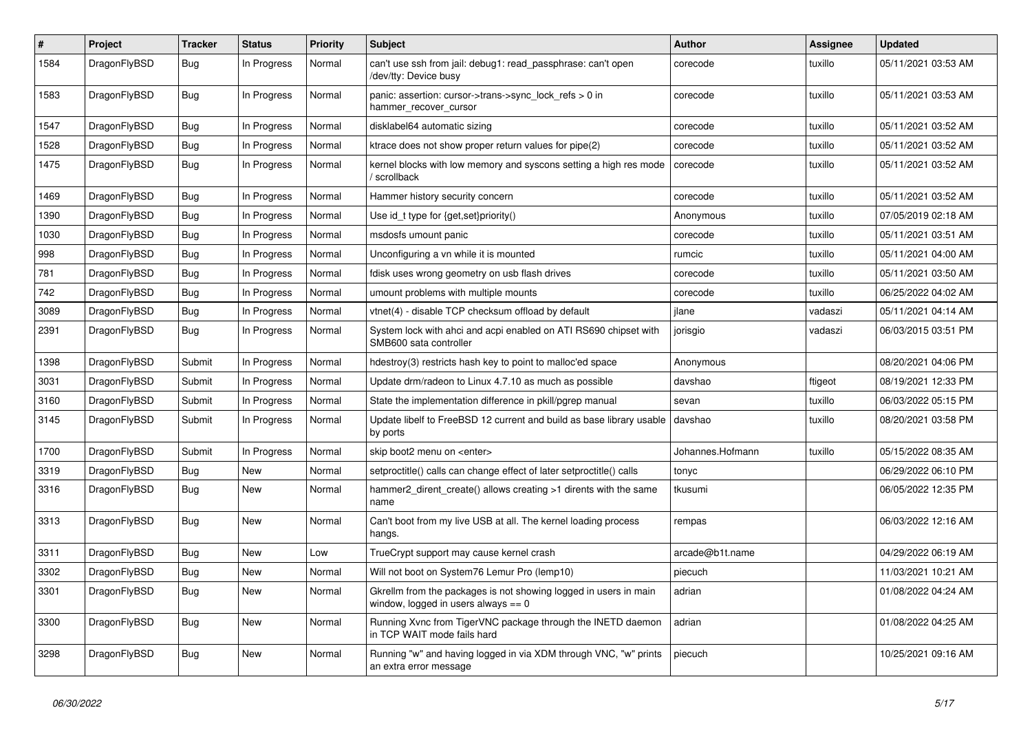| $\#$ | Project      | <b>Tracker</b> | <b>Status</b> | <b>Priority</b> | <b>Subject</b>                                                                                            | <b>Author</b>    | Assignee | <b>Updated</b>      |
|------|--------------|----------------|---------------|-----------------|-----------------------------------------------------------------------------------------------------------|------------------|----------|---------------------|
| 1584 | DragonFlyBSD | Bug            | In Progress   | Normal          | can't use ssh from jail: debug1: read passphrase: can't open<br>/dev/tty: Device busy                     | corecode         | tuxillo  | 05/11/2021 03:53 AM |
| 1583 | DragonFlyBSD | <b>Bug</b>     | In Progress   | Normal          | panic: assertion: cursor->trans->sync_lock_refs > 0 in<br>hammer_recover_cursor                           | corecode         | tuxillo  | 05/11/2021 03:53 AM |
| 1547 | DragonFlyBSD | <b>Bug</b>     | In Progress   | Normal          | disklabel64 automatic sizing                                                                              | corecode         | tuxillo  | 05/11/2021 03:52 AM |
| 1528 | DragonFlyBSD | Bug            | In Progress   | Normal          | ktrace does not show proper return values for pipe(2)                                                     | corecode         | tuxillo  | 05/11/2021 03:52 AM |
| 1475 | DragonFlyBSD | Bug            | In Progress   | Normal          | kernel blocks with low memory and syscons setting a high res mode<br>/ scrollback                         | corecode         | tuxillo  | 05/11/2021 03:52 AM |
| 1469 | DragonFlyBSD | Bug            | In Progress   | Normal          | Hammer history security concern                                                                           | corecode         | tuxillo  | 05/11/2021 03:52 AM |
| 1390 | DragonFlyBSD | Bug            | In Progress   | Normal          | Use id_t type for {get,set}priority()                                                                     | Anonymous        | tuxillo  | 07/05/2019 02:18 AM |
| 1030 | DragonFlyBSD | <b>Bug</b>     | In Progress   | Normal          | msdosfs umount panic                                                                                      | corecode         | tuxillo  | 05/11/2021 03:51 AM |
| 998  | DragonFlyBSD | <b>Bug</b>     | In Progress   | Normal          | Unconfiguring a vn while it is mounted                                                                    | rumcic           | tuxillo  | 05/11/2021 04:00 AM |
| 781  | DragonFlyBSD | <b>Bug</b>     | In Progress   | Normal          | fdisk uses wrong geometry on usb flash drives                                                             | corecode         | tuxillo  | 05/11/2021 03:50 AM |
| 742  | DragonFlyBSD | Bug            | In Progress   | Normal          | umount problems with multiple mounts                                                                      | corecode         | tuxillo  | 06/25/2022 04:02 AM |
| 3089 | DragonFlyBSD | <b>Bug</b>     | In Progress   | Normal          | vtnet(4) - disable TCP checksum offload by default                                                        | jlane            | vadaszi  | 05/11/2021 04:14 AM |
| 2391 | DragonFlyBSD | Bug            | In Progress   | Normal          | System lock with ahci and acpi enabled on ATI RS690 chipset with<br>SMB600 sata controller                | jorisgio         | vadaszi  | 06/03/2015 03:51 PM |
| 1398 | DragonFlyBSD | Submit         | In Progress   | Normal          | hdestroy(3) restricts hash key to point to malloc'ed space                                                | Anonymous        |          | 08/20/2021 04:06 PM |
| 3031 | DragonFlyBSD | Submit         | In Progress   | Normal          | Update drm/radeon to Linux 4.7.10 as much as possible                                                     | davshao          | ftigeot  | 08/19/2021 12:33 PM |
| 3160 | DragonFlyBSD | Submit         | In Progress   | Normal          | State the implementation difference in pkill/pgrep manual                                                 | sevan            | tuxillo  | 06/03/2022 05:15 PM |
| 3145 | DragonFlyBSD | Submit         | In Progress   | Normal          | Update libelf to FreeBSD 12 current and build as base library usable<br>by ports                          | davshao          | tuxillo  | 08/20/2021 03:58 PM |
| 1700 | DragonFlyBSD | Submit         | In Progress   | Normal          | skip boot2 menu on <enter></enter>                                                                        | Johannes.Hofmann | tuxillo  | 05/15/2022 08:35 AM |
| 3319 | DragonFlyBSD | Bug            | New           | Normal          | setproctitle() calls can change effect of later setproctitle() calls                                      | tonyc            |          | 06/29/2022 06:10 PM |
| 3316 | DragonFlyBSD | <b>Bug</b>     | <b>New</b>    | Normal          | hammer2 dirent create() allows creating >1 dirents with the same<br>name                                  | tkusumi          |          | 06/05/2022 12:35 PM |
| 3313 | DragonFlyBSD | <b>Bug</b>     | <b>New</b>    | Normal          | Can't boot from my live USB at all. The kernel loading process<br>hangs.                                  | rempas           |          | 06/03/2022 12:16 AM |
| 3311 | DragonFlyBSD | <b>Bug</b>     | <b>New</b>    | Low             | TrueCrypt support may cause kernel crash                                                                  | arcade@b1t.name  |          | 04/29/2022 06:19 AM |
| 3302 | DragonFlyBSD | Bug            | <b>New</b>    | Normal          | Will not boot on System76 Lemur Pro (lemp10)                                                              | piecuch          |          | 11/03/2021 10:21 AM |
| 3301 | DragonFlyBSD | <b>Bug</b>     | New           | Normal          | Gkrellm from the packages is not showing logged in users in main<br>window, logged in users always $== 0$ | adrian           |          | 01/08/2022 04:24 AM |
| 3300 | DragonFlyBSD | <b>Bug</b>     | New           | Normal          | Running Xvnc from TigerVNC package through the INETD daemon<br>in TCP WAIT mode fails hard                | adrian           |          | 01/08/2022 04:25 AM |
| 3298 | DragonFlyBSD | <b>Bug</b>     | New           | Normal          | Running "w" and having logged in via XDM through VNC, "w" prints<br>an extra error message                | piecuch          |          | 10/25/2021 09:16 AM |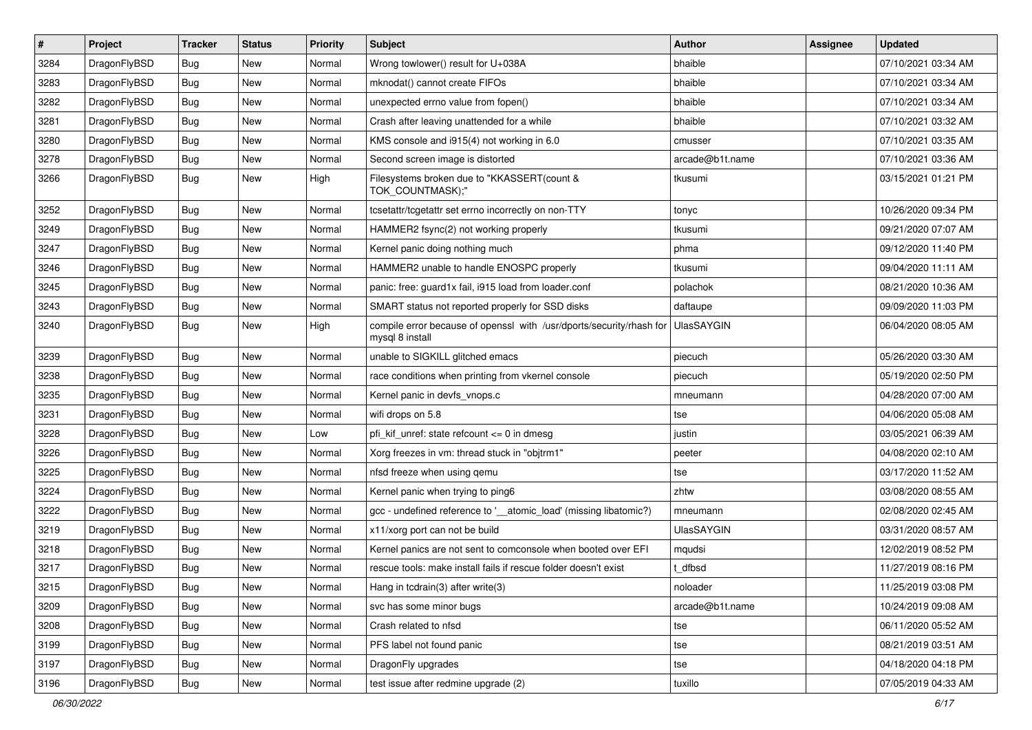| $\pmb{\#}$ | Project      | <b>Tracker</b> | <b>Status</b> | <b>Priority</b> | Subject                                                                                 | <b>Author</b>     | <b>Assignee</b> | <b>Updated</b>      |
|------------|--------------|----------------|---------------|-----------------|-----------------------------------------------------------------------------------------|-------------------|-----------------|---------------------|
| 3284       | DragonFlyBSD | Bug            | <b>New</b>    | Normal          | Wrong towlower() result for U+038A                                                      | bhaible           |                 | 07/10/2021 03:34 AM |
| 3283       | DragonFlyBSD | Bug            | <b>New</b>    | Normal          | mknodat() cannot create FIFOs                                                           | bhaible           |                 | 07/10/2021 03:34 AM |
| 3282       | DragonFlyBSD | Bug            | <b>New</b>    | Normal          | unexpected errno value from fopen()                                                     | bhaible           |                 | 07/10/2021 03:34 AM |
| 3281       | DragonFlyBSD | Bug            | New           | Normal          | Crash after leaving unattended for a while                                              | bhaible           |                 | 07/10/2021 03:32 AM |
| 3280       | DragonFlyBSD | Bug            | <b>New</b>    | Normal          | KMS console and i915(4) not working in 6.0                                              | cmusser           |                 | 07/10/2021 03:35 AM |
| 3278       | DragonFlyBSD | Bug            | New           | Normal          | Second screen image is distorted                                                        | arcade@b1t.name   |                 | 07/10/2021 03:36 AM |
| 3266       | DragonFlyBSD | Bug            | <b>New</b>    | High            | Filesystems broken due to "KKASSERT(count &<br>TOK_COUNTMASK);"                         | tkusumi           |                 | 03/15/2021 01:21 PM |
| 3252       | DragonFlyBSD | Bug            | <b>New</b>    | Normal          | tcsetattr/tcgetattr set errno incorrectly on non-TTY                                    | tonyc             |                 | 10/26/2020 09:34 PM |
| 3249       | DragonFlyBSD | Bug            | <b>New</b>    | Normal          | HAMMER2 fsync(2) not working properly                                                   | tkusumi           |                 | 09/21/2020 07:07 AM |
| 3247       | DragonFlyBSD | Bug            | <b>New</b>    | Normal          | Kernel panic doing nothing much                                                         | phma              |                 | 09/12/2020 11:40 PM |
| 3246       | DragonFlyBSD | Bug            | New           | Normal          | HAMMER2 unable to handle ENOSPC properly                                                | tkusumi           |                 | 09/04/2020 11:11 AM |
| 3245       | DragonFlyBSD | Bug            | <b>New</b>    | Normal          | panic: free: guard1x fail, i915 load from loader.conf                                   | polachok          |                 | 08/21/2020 10:36 AM |
| 3243       | DragonFlyBSD | Bug            | New           | Normal          | SMART status not reported properly for SSD disks                                        | daftaupe          |                 | 09/09/2020 11:03 PM |
| 3240       | DragonFlyBSD | Bug            | <b>New</b>    | High            | compile error because of openssl with /usr/dports/security/rhash for<br>mysql 8 install | <b>UlasSAYGIN</b> |                 | 06/04/2020 08:05 AM |
| 3239       | DragonFlyBSD | Bug            | <b>New</b>    | Normal          | unable to SIGKILL glitched emacs                                                        | piecuch           |                 | 05/26/2020 03:30 AM |
| 3238       | DragonFlyBSD | Bug            | New           | Normal          | race conditions when printing from vkernel console                                      | piecuch           |                 | 05/19/2020 02:50 PM |
| 3235       | DragonFlyBSD | Bug            | <b>New</b>    | Normal          | Kernel panic in devfs vnops.c                                                           | mneumann          |                 | 04/28/2020 07:00 AM |
| 3231       | DragonFlyBSD | Bug            | <b>New</b>    | Normal          | wifi drops on 5.8                                                                       | tse               |                 | 04/06/2020 05:08 AM |
| 3228       | DragonFlyBSD | <b>Bug</b>     | New           | Low             | pfi kif unref: state refcount $\leq$ 0 in dmesg                                         | justin            |                 | 03/05/2021 06:39 AM |
| 3226       | DragonFlyBSD | Bug            | <b>New</b>    | Normal          | Xorg freezes in vm: thread stuck in "objtrm1"                                           | peeter            |                 | 04/08/2020 02:10 AM |
| 3225       | DragonFlyBSD | Bug            | <b>New</b>    | Normal          | nfsd freeze when using qemu                                                             | tse               |                 | 03/17/2020 11:52 AM |
| 3224       | DragonFlyBSD | Bug            | <b>New</b>    | Normal          | Kernel panic when trying to ping6                                                       | zhtw              |                 | 03/08/2020 08:55 AM |
| 3222       | DragonFlyBSD | Bug            | New           | Normal          | gcc - undefined reference to '__atomic_load' (missing libatomic?)                       | mneumann          |                 | 02/08/2020 02:45 AM |
| 3219       | DragonFlyBSD | Bug            | <b>New</b>    | Normal          | x11/xorg port can not be build                                                          | <b>UlasSAYGIN</b> |                 | 03/31/2020 08:57 AM |
| 3218       | DragonFlyBSD | Bug            | New           | Normal          | Kernel panics are not sent to comconsole when booted over EFI                           | mqudsi            |                 | 12/02/2019 08:52 PM |
| 3217       | DragonFlyBSD | Bug            | <b>New</b>    | Normal          | rescue tools: make install fails if rescue folder doesn't exist                         | t dfbsd           |                 | 11/27/2019 08:16 PM |
| 3215       | DragonFlyBSD | <b>Bug</b>     | <b>New</b>    | Normal          | Hang in tcdrain(3) after write(3)                                                       | noloader          |                 | 11/25/2019 03:08 PM |
| 3209       | DragonFlyBSD | <b>Bug</b>     | New           | Normal          | svc has some minor bugs                                                                 | arcade@b1t.name   |                 | 10/24/2019 09:08 AM |
| 3208       | DragonFlyBSD | <b>Bug</b>     | New           | Normal          | Crash related to nfsd                                                                   | tse               |                 | 06/11/2020 05:52 AM |
| 3199       | DragonFlyBSD | <b>Bug</b>     | New           | Normal          | PFS label not found panic                                                               | tse               |                 | 08/21/2019 03:51 AM |
| 3197       | DragonFlyBSD | <b>Bug</b>     | New           | Normal          | DragonFly upgrades                                                                      | tse               |                 | 04/18/2020 04:18 PM |
| 3196       | DragonFlyBSD | <b>Bug</b>     | New           | Normal          | test issue after redmine upgrade (2)                                                    | tuxillo           |                 | 07/05/2019 04:33 AM |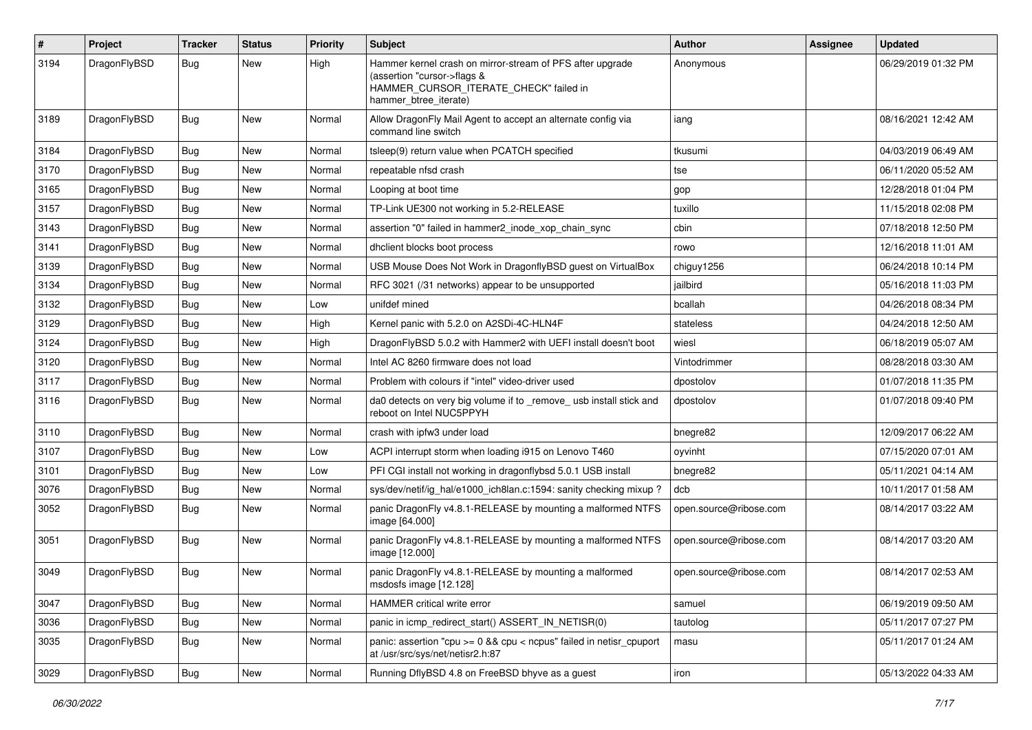| #    | Project      | <b>Tracker</b> | <b>Status</b> | <b>Priority</b> | Subject                                                                                                                                                     | Author                 | Assignee | <b>Updated</b>      |
|------|--------------|----------------|---------------|-----------------|-------------------------------------------------------------------------------------------------------------------------------------------------------------|------------------------|----------|---------------------|
| 3194 | DragonFlyBSD | Bug            | New           | High            | Hammer kernel crash on mirror-stream of PFS after upgrade<br>(assertion "cursor->flags &<br>HAMMER_CURSOR_ITERATE_CHECK" failed in<br>hammer_btree_iterate) | Anonymous              |          | 06/29/2019 01:32 PM |
| 3189 | DragonFlyBSD | <b>Bug</b>     | <b>New</b>    | Normal          | Allow DragonFly Mail Agent to accept an alternate config via<br>command line switch                                                                         | iang                   |          | 08/16/2021 12:42 AM |
| 3184 | DragonFlyBSD | Bug            | New           | Normal          | tsleep(9) return value when PCATCH specified                                                                                                                | tkusumi                |          | 04/03/2019 06:49 AM |
| 3170 | DragonFlvBSD | <b>Bug</b>     | <b>New</b>    | Normal          | repeatable nfsd crash                                                                                                                                       | tse                    |          | 06/11/2020 05:52 AM |
| 3165 | DragonFlyBSD | <b>Bug</b>     | <b>New</b>    | Normal          | Looping at boot time                                                                                                                                        | gop                    |          | 12/28/2018 01:04 PM |
| 3157 | DragonFlyBSD | <b>Bug</b>     | <b>New</b>    | Normal          | TP-Link UE300 not working in 5.2-RELEASE                                                                                                                    | tuxillo                |          | 11/15/2018 02:08 PM |
| 3143 | DragonFlyBSD | Bug            | <b>New</b>    | Normal          | assertion "0" failed in hammer2 inode xop chain sync                                                                                                        | cbin                   |          | 07/18/2018 12:50 PM |
| 3141 | DragonFlyBSD | <b>Bug</b>     | New           | Normal          | dhclient blocks boot process                                                                                                                                | rowo                   |          | 12/16/2018 11:01 AM |
| 3139 | DragonFlyBSD | Bug            | <b>New</b>    | Normal          | USB Mouse Does Not Work in DragonflyBSD guest on VirtualBox                                                                                                 | chiguy1256             |          | 06/24/2018 10:14 PM |
| 3134 | DragonFlyBSD | <b>Bug</b>     | <b>New</b>    | Normal          | RFC 3021 (/31 networks) appear to be unsupported                                                                                                            | jailbird               |          | 05/16/2018 11:03 PM |
| 3132 | DragonFlyBSD | Bug            | <b>New</b>    | Low             | unifdef mined                                                                                                                                               | bcallah                |          | 04/26/2018 08:34 PM |
| 3129 | DragonFlyBSD | <b>Bug</b>     | New           | High            | Kernel panic with 5.2.0 on A2SDi-4C-HLN4F                                                                                                                   | stateless              |          | 04/24/2018 12:50 AM |
| 3124 | DragonFlyBSD | <b>Bug</b>     | <b>New</b>    | High            | DragonFlyBSD 5.0.2 with Hammer2 with UEFI install doesn't boot                                                                                              | wiesl                  |          | 06/18/2019 05:07 AM |
| 3120 | DragonFlyBSD | Bug            | <b>New</b>    | Normal          | Intel AC 8260 firmware does not load                                                                                                                        | Vintodrimmer           |          | 08/28/2018 03:30 AM |
| 3117 | DragonFlyBSD | <b>Bug</b>     | New           | Normal          | Problem with colours if "intel" video-driver used                                                                                                           | dpostolov              |          | 01/07/2018 11:35 PM |
| 3116 | DragonFlyBSD | Bug            | <b>New</b>    | Normal          | da0 detects on very big volume if to _remove_ usb install stick and<br>reboot on Intel NUC5PPYH                                                             | dpostolov              |          | 01/07/2018 09:40 PM |
| 3110 | DragonFlyBSD | Bug            | <b>New</b>    | Normal          | crash with ipfw3 under load                                                                                                                                 | bnegre82               |          | 12/09/2017 06:22 AM |
| 3107 | DragonFlyBSD | <b>Bug</b>     | <b>New</b>    | Low             | ACPI interrupt storm when loading i915 on Lenovo T460                                                                                                       | oyvinht                |          | 07/15/2020 07:01 AM |
| 3101 | DragonFlyBSD | <b>Bug</b>     | New           | Low             | PFI CGI install not working in dragonflybsd 5.0.1 USB install                                                                                               | bnegre82               |          | 05/11/2021 04:14 AM |
| 3076 | DragonFlyBSD | <b>Bug</b>     | New           | Normal          | sys/dev/netif/ig_hal/e1000_ich8lan.c:1594: sanity checking mixup?                                                                                           | dcb                    |          | 10/11/2017 01:58 AM |
| 3052 | DragonFlyBSD | Bug            | <b>New</b>    | Normal          | panic DragonFly v4.8.1-RELEASE by mounting a malformed NTFS<br>image [64.000]                                                                               | open.source@ribose.com |          | 08/14/2017 03:22 AM |
| 3051 | DragonFlyBSD | Bug            | New           | Normal          | panic DragonFly v4.8.1-RELEASE by mounting a malformed NTFS<br>image [12.000]                                                                               | open.source@ribose.com |          | 08/14/2017 03:20 AM |
| 3049 | DragonFlyBSD | Bug            | <b>New</b>    | Normal          | panic DragonFly v4.8.1-RELEASE by mounting a malformed<br>msdosfs image [12.128]                                                                            | open.source@ribose.com |          | 08/14/2017 02:53 AM |
| 3047 | DragonFlyBSD | Bug            | New           | Normal          | HAMMER critical write error                                                                                                                                 | samuel                 |          | 06/19/2019 09:50 AM |
| 3036 | DragonFlyBSD | <b>Bug</b>     | New           | Normal          | panic in icmp_redirect_start() ASSERT_IN_NETISR(0)                                                                                                          | tautolog               |          | 05/11/2017 07:27 PM |
| 3035 | DragonFlyBSD | <b>Bug</b>     | New           | Normal          | panic: assertion "cpu $>= 0$ && cpu < ncpus" failed in netisr cpuport<br>at /usr/src/sys/net/netisr2.h:87                                                   | masu                   |          | 05/11/2017 01:24 AM |
| 3029 | DragonFlyBSD | <b>Bug</b>     | New           | Normal          | Running DflyBSD 4.8 on FreeBSD bhyve as a guest                                                                                                             | iron                   |          | 05/13/2022 04:33 AM |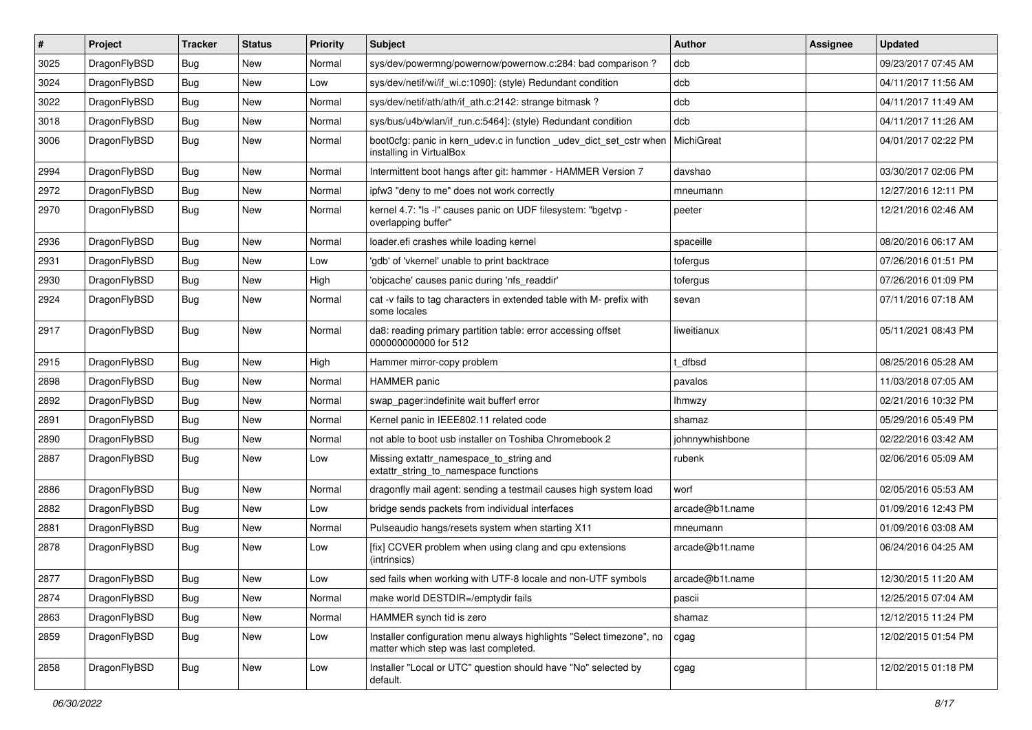| $\sharp$ | Project      | <b>Tracker</b> | <b>Status</b> | <b>Priority</b> | Subject                                                                                                       | <b>Author</b>   | Assignee | <b>Updated</b>      |
|----------|--------------|----------------|---------------|-----------------|---------------------------------------------------------------------------------------------------------------|-----------------|----------|---------------------|
| 3025     | DragonFlyBSD | Bug            | New           | Normal          | sys/dev/powermng/powernow/powernow.c:284: bad comparison?                                                     | dcb             |          | 09/23/2017 07:45 AM |
| 3024     | DragonFlyBSD | Bug            | New           | Low             | sys/dev/netif/wi/if wi.c:1090]: (style) Redundant condition                                                   | dcb             |          | 04/11/2017 11:56 AM |
| 3022     | DragonFlyBSD | Bug            | New           | Normal          | sys/dev/netif/ath/ath/if ath.c:2142: strange bitmask?                                                         | dcb             |          | 04/11/2017 11:49 AM |
| 3018     | DragonFlyBSD | Bug            | New           | Normal          | sys/bus/u4b/wlan/if_run.c:5464]: (style) Redundant condition                                                  | dcb             |          | 04/11/2017 11:26 AM |
| 3006     | DragonFlyBSD | Bug            | <b>New</b>    | Normal          | boot0cfg: panic in kern_udev.c in function _udev_dict_set_cstr when<br>installing in VirtualBox               | MichiGreat      |          | 04/01/2017 02:22 PM |
| 2994     | DragonFlyBSD | Bug            | New           | Normal          | Intermittent boot hangs after git: hammer - HAMMER Version 7                                                  | davshao         |          | 03/30/2017 02:06 PM |
| 2972     | DragonFlyBSD | Bug            | New           | Normal          | ipfw3 "deny to me" does not work correctly                                                                    | mneumann        |          | 12/27/2016 12:11 PM |
| 2970     | DragonFlyBSD | Bug            | New           | Normal          | kernel 4.7: "Is -I" causes panic on UDF filesystem: "bgetvp -<br>overlapping buffer"                          | peeter          |          | 12/21/2016 02:46 AM |
| 2936     | DragonFlyBSD | Bug            | <b>New</b>    | Normal          | loader.efi crashes while loading kernel                                                                       | spaceille       |          | 08/20/2016 06:17 AM |
| 2931     | DragonFlyBSD | Bug            | New           | Low             | 'gdb' of 'vkernel' unable to print backtrace                                                                  | tofergus        |          | 07/26/2016 01:51 PM |
| 2930     | DragonFlyBSD | Bug            | New           | High            | 'objcache' causes panic during 'nfs readdir'                                                                  | tofergus        |          | 07/26/2016 01:09 PM |
| 2924     | DragonFlyBSD | <b>Bug</b>     | New           | Normal          | cat -v fails to tag characters in extended table with M- prefix with<br>some locales                          | sevan           |          | 07/11/2016 07:18 AM |
| 2917     | DragonFlyBSD | Bug            | <b>New</b>    | Normal          | da8: reading primary partition table: error accessing offset<br>000000000000 for 512                          | liweitianux     |          | 05/11/2021 08:43 PM |
| 2915     | DragonFlyBSD | Bug            | New           | High            | Hammer mirror-copy problem                                                                                    | t dfbsd         |          | 08/25/2016 05:28 AM |
| 2898     | DragonFlyBSD | <b>Bug</b>     | <b>New</b>    | Normal          | <b>HAMMER</b> panic                                                                                           | pavalos         |          | 11/03/2018 07:05 AM |
| 2892     | DragonFlyBSD | <b>Bug</b>     | New           | Normal          | swap pager:indefinite wait bufferf error                                                                      | lhmwzy          |          | 02/21/2016 10:32 PM |
| 2891     | DragonFlyBSD | Bug            | <b>New</b>    | Normal          | Kernel panic in IEEE802.11 related code                                                                       | shamaz          |          | 05/29/2016 05:49 PM |
| 2890     | DragonFlyBSD | <b>Bug</b>     | New           | Normal          | not able to boot usb installer on Toshiba Chromebook 2                                                        | johnnywhishbone |          | 02/22/2016 03:42 AM |
| 2887     | DragonFlyBSD | Bug            | New           | Low             | Missing extattr_namespace_to_string and<br>extattr_string_to_namespace functions                              | rubenk          |          | 02/06/2016 05:09 AM |
| 2886     | DragonFlyBSD | Bug            | New           | Normal          | dragonfly mail agent: sending a testmail causes high system load                                              | worf            |          | 02/05/2016 05:53 AM |
| 2882     | DragonFlyBSD | Bug            | <b>New</b>    | Low             | bridge sends packets from individual interfaces                                                               | arcade@b1t.name |          | 01/09/2016 12:43 PM |
| 2881     | DragonFlyBSD | <b>Bug</b>     | New           | Normal          | Pulseaudio hangs/resets system when starting X11                                                              | mneumann        |          | 01/09/2016 03:08 AM |
| 2878     | DragonFlyBSD | <b>Bug</b>     | New           | Low             | [fix] CCVER problem when using clang and cpu extensions<br>(intrinsics)                                       | arcade@b1t.name |          | 06/24/2016 04:25 AM |
| 2877     | DragonFlyBSD | <b>Bug</b>     | <b>New</b>    | Low             | sed fails when working with UTF-8 locale and non-UTF symbols                                                  | arcade@b1t.name |          | 12/30/2015 11:20 AM |
| 2874     | DragonFlyBSD | Bug            | New           | Normal          | make world DESTDIR=/emptydir fails                                                                            | pascii          |          | 12/25/2015 07:04 AM |
| 2863     | DragonFlyBSD | Bug            | New           | Normal          | HAMMER synch tid is zero                                                                                      | shamaz          |          | 12/12/2015 11:24 PM |
| 2859     | DragonFlyBSD | <b>Bug</b>     | <b>New</b>    | Low             | Installer configuration menu always highlights "Select timezone", no<br>matter which step was last completed. | cgag            |          | 12/02/2015 01:54 PM |
| 2858     | DragonFlyBSD | Bug            | New           | Low             | Installer "Local or UTC" question should have "No" selected by<br>default.                                    | cgag            |          | 12/02/2015 01:18 PM |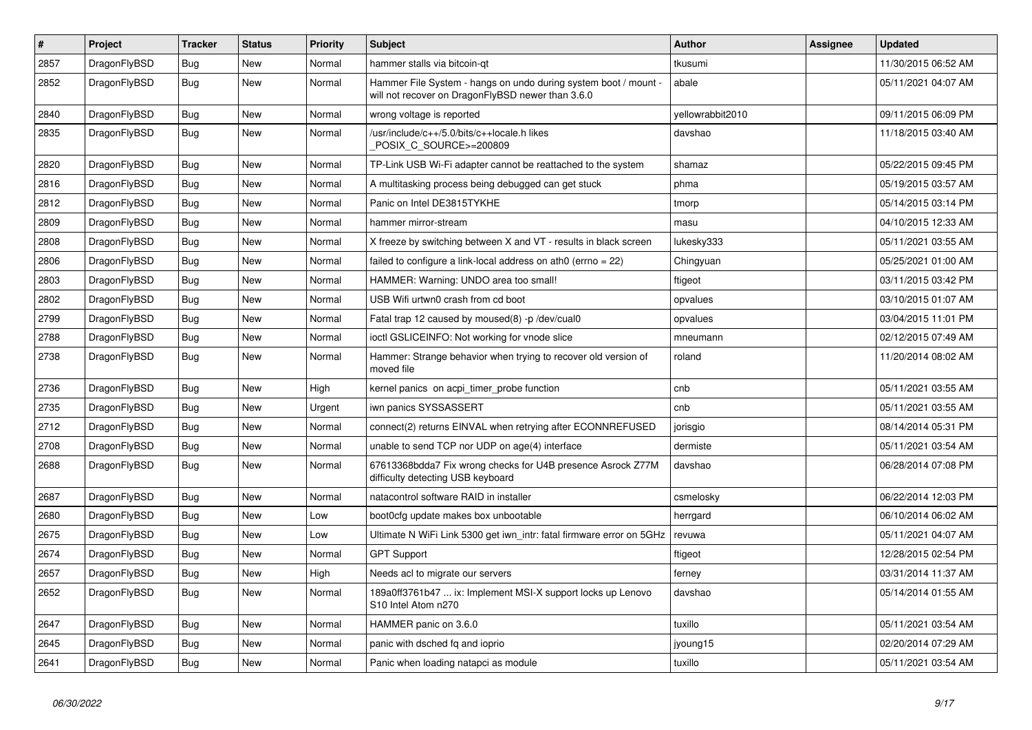| $\sharp$ | Project      | <b>Tracker</b> | <b>Status</b> | <b>Priority</b> | <b>Subject</b>                                                                                                       | <b>Author</b>    | Assignee | <b>Updated</b>      |
|----------|--------------|----------------|---------------|-----------------|----------------------------------------------------------------------------------------------------------------------|------------------|----------|---------------------|
| 2857     | DragonFlyBSD | Bug            | <b>New</b>    | Normal          | hammer stalls via bitcoin-qt                                                                                         | tkusumi          |          | 11/30/2015 06:52 AM |
| 2852     | DragonFlyBSD | Bug            | New           | Normal          | Hammer File System - hangs on undo during system boot / mount -<br>will not recover on DragonFlyBSD newer than 3.6.0 | abale            |          | 05/11/2021 04:07 AM |
| 2840     | DragonFlyBSD | Bug            | <b>New</b>    | Normal          | wrong voltage is reported                                                                                            | vellowrabbit2010 |          | 09/11/2015 06:09 PM |
| 2835     | DragonFlyBSD | Bug            | <b>New</b>    | Normal          | /usr/include/c++/5.0/bits/c++locale.h likes<br>POSIX_C_SOURCE>=200809                                                | davshao          |          | 11/18/2015 03:40 AM |
| 2820     | DragonFlyBSD | <b>Bug</b>     | <b>New</b>    | Normal          | TP-Link USB Wi-Fi adapter cannot be reattached to the system                                                         | shamaz           |          | 05/22/2015 09:45 PM |
| 2816     | DragonFlyBSD | <b>Bug</b>     | <b>New</b>    | Normal          | A multitasking process being debugged can get stuck                                                                  | phma             |          | 05/19/2015 03:57 AM |
| 2812     | DragonFlyBSD | <b>Bug</b>     | <b>New</b>    | Normal          | Panic on Intel DE3815TYKHE                                                                                           | tmorp            |          | 05/14/2015 03:14 PM |
| 2809     | DragonFlyBSD | Bug            | <b>New</b>    | Normal          | hammer mirror-stream                                                                                                 | masu             |          | 04/10/2015 12:33 AM |
| 2808     | DragonFlyBSD | Bug            | <b>New</b>    | Normal          | X freeze by switching between X and VT - results in black screen                                                     | lukesky333       |          | 05/11/2021 03:55 AM |
| 2806     | DragonFlyBSD | <b>Bug</b>     | <b>New</b>    | Normal          | failed to configure a link-local address on ath0 (errno = 22)                                                        | Chingyuan        |          | 05/25/2021 01:00 AM |
| 2803     | DragonFlyBSD | <b>Bug</b>     | <b>New</b>    | Normal          | HAMMER: Warning: UNDO area too small!                                                                                | ftigeot          |          | 03/11/2015 03:42 PM |
| 2802     | DragonFlyBSD | Bug            | <b>New</b>    | Normal          | USB Wifi urtwn0 crash from cd boot                                                                                   | opvalues         |          | 03/10/2015 01:07 AM |
| 2799     | DragonFlyBSD | Bug            | <b>New</b>    | Normal          | Fatal trap 12 caused by moused(8) -p/dev/cual0                                                                       | opvalues         |          | 03/04/2015 11:01 PM |
| 2788     | DragonFlyBSD | <b>Bug</b>     | <b>New</b>    | Normal          | ioctl GSLICEINFO: Not working for vnode slice                                                                        | mneumann         |          | 02/12/2015 07:49 AM |
| 2738     | DragonFlyBSD | <b>Bug</b>     | <b>New</b>    | Normal          | Hammer: Strange behavior when trying to recover old version of<br>moved file                                         | roland           |          | 11/20/2014 08:02 AM |
| 2736     | DragonFlyBSD | Bug            | <b>New</b>    | High            | kernel panics on acpi timer probe function                                                                           | cnb              |          | 05/11/2021 03:55 AM |
| 2735     | DragonFlyBSD | <b>Bug</b>     | <b>New</b>    | Urgent          | iwn panics SYSSASSERT                                                                                                | cnb              |          | 05/11/2021 03:55 AM |
| 2712     | DragonFlyBSD | <b>Bug</b>     | <b>New</b>    | Normal          | connect(2) returns EINVAL when retrying after ECONNREFUSED                                                           | jorisgio         |          | 08/14/2014 05:31 PM |
| 2708     | DragonFlyBSD | Bug            | <b>New</b>    | Normal          | unable to send TCP nor UDP on age(4) interface                                                                       | dermiste         |          | 05/11/2021 03:54 AM |
| 2688     | DragonFlyBSD | <b>Bug</b>     | <b>New</b>    | Normal          | 67613368bdda7 Fix wrong checks for U4B presence Asrock Z77M<br>difficulty detecting USB keyboard                     | davshao          |          | 06/28/2014 07:08 PM |
| 2687     | DragonFlyBSD | <b>Bug</b>     | <b>New</b>    | Normal          | natacontrol software RAID in installer                                                                               | csmelosky        |          | 06/22/2014 12:03 PM |
| 2680     | DragonFlyBSD | Bug            | New           | Low             | boot0cfg update makes box unbootable                                                                                 | herrgard         |          | 06/10/2014 06:02 AM |
| 2675     | DragonFlyBSD | <b>Bug</b>     | <b>New</b>    | Low             | Ultimate N WiFi Link 5300 get iwn intr: fatal firmware error on 5GHz                                                 | revuwa           |          | 05/11/2021 04:07 AM |
| 2674     | DragonFlyBSD | Bug            | <b>New</b>    | Normal          | <b>GPT Support</b>                                                                                                   | ftigeot          |          | 12/28/2015 02:54 PM |
| 2657     | DragonFlyBSD | Bug            | <b>New</b>    | High            | Needs acl to migrate our servers                                                                                     | ferney           |          | 03/31/2014 11:37 AM |
| 2652     | DragonFlyBSD | Bug            | New           | Normal          | 189a0ff3761b47  ix: Implement MSI-X support locks up Lenovo<br>S10 Intel Atom n270                                   | davshao          |          | 05/14/2014 01:55 AM |
| 2647     | DragonFlyBSD | Bug            | New           | Normal          | HAMMER panic on 3.6.0                                                                                                | tuxillo          |          | 05/11/2021 03:54 AM |
| 2645     | DragonFlyBSD | Bug            | New           | Normal          | panic with dsched fq and ioprio                                                                                      | jyoung15         |          | 02/20/2014 07:29 AM |
| 2641     | DragonFlyBSD | Bug            | New           | Normal          | Panic when loading natapci as module                                                                                 | tuxillo          |          | 05/11/2021 03:54 AM |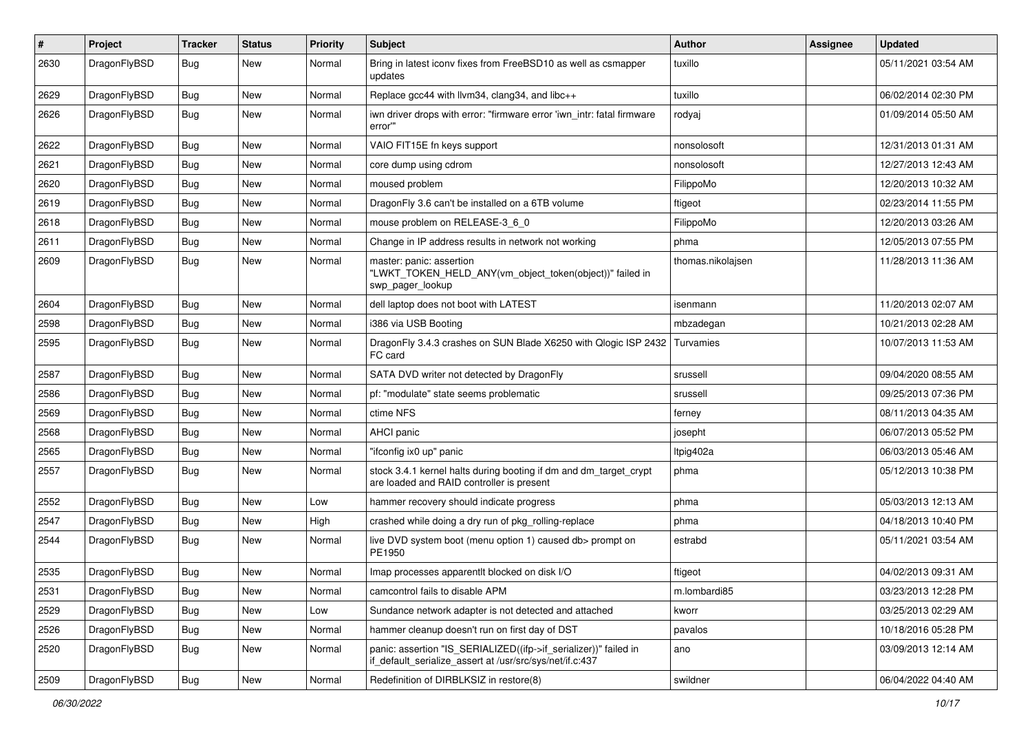| #    | Project      | <b>Tracker</b> | <b>Status</b> | <b>Priority</b> | Subject                                                                                                                      | <b>Author</b>     | Assignee | <b>Updated</b>      |
|------|--------------|----------------|---------------|-----------------|------------------------------------------------------------------------------------------------------------------------------|-------------------|----------|---------------------|
| 2630 | DragonFlyBSD | Bug            | <b>New</b>    | Normal          | Bring in latest iconv fixes from FreeBSD10 as well as csmapper<br>updates                                                    | tuxillo           |          | 05/11/2021 03:54 AM |
| 2629 | DragonFlyBSD | <b>Bug</b>     | <b>New</b>    | Normal          | Replace gcc44 with llvm34, clang34, and libc++                                                                               | tuxillo           |          | 06/02/2014 02:30 PM |
| 2626 | DragonFlyBSD | Bug            | <b>New</b>    | Normal          | iwn driver drops with error: "firmware error 'iwn_intr: fatal firmware<br>error""                                            | rodyaj            |          | 01/09/2014 05:50 AM |
| 2622 | DragonFlyBSD | Bug            | <b>New</b>    | Normal          | VAIO FIT15E fn keys support                                                                                                  | nonsolosoft       |          | 12/31/2013 01:31 AM |
| 2621 | DragonFlyBSD | Bug            | <b>New</b>    | Normal          | core dump using cdrom                                                                                                        | nonsolosoft       |          | 12/27/2013 12:43 AM |
| 2620 | DragonFlyBSD | Bug            | <b>New</b>    | Normal          | moused problem                                                                                                               | FilippoMo         |          | 12/20/2013 10:32 AM |
| 2619 | DragonFlyBSD | Bug            | <b>New</b>    | Normal          | DragonFly 3.6 can't be installed on a 6TB volume                                                                             | ftigeot           |          | 02/23/2014 11:55 PM |
| 2618 | DragonFlyBSD | Bug            | <b>New</b>    | Normal          | mouse problem on RELEASE-3_6_0                                                                                               | FilippoMo         |          | 12/20/2013 03:26 AM |
| 2611 | DragonFlyBSD | <b>Bug</b>     | <b>New</b>    | Normal          | Change in IP address results in network not working                                                                          | phma              |          | 12/05/2013 07:55 PM |
| 2609 | DragonFlyBSD | Bug            | <b>New</b>    | Normal          | master: panic: assertion<br>"LWKT_TOKEN_HELD_ANY(vm_object_token(object))" failed in<br>swp pager lookup                     | thomas.nikolajsen |          | 11/28/2013 11:36 AM |
| 2604 | DragonFlyBSD | Bug            | <b>New</b>    | Normal          | dell laptop does not boot with LATEST                                                                                        | isenmann          |          | 11/20/2013 02:07 AM |
| 2598 | DragonFlyBSD | Bug            | <b>New</b>    | Normal          | i386 via USB Booting                                                                                                         | mbzadegan         |          | 10/21/2013 02:28 AM |
| 2595 | DragonFlyBSD | Bug            | <b>New</b>    | Normal          | DragonFly 3.4.3 crashes on SUN Blade X6250 with Qlogic ISP 2432<br>FC card                                                   | Turvamies         |          | 10/07/2013 11:53 AM |
| 2587 | DragonFlyBSD | Bug            | <b>New</b>    | Normal          | SATA DVD writer not detected by DragonFly                                                                                    | srussell          |          | 09/04/2020 08:55 AM |
| 2586 | DragonFlyBSD | Bug            | <b>New</b>    | Normal          | pf: "modulate" state seems problematic                                                                                       | srussell          |          | 09/25/2013 07:36 PM |
| 2569 | DragonFlyBSD | <b>Bug</b>     | <b>New</b>    | Normal          | ctime NFS                                                                                                                    | ferney            |          | 08/11/2013 04:35 AM |
| 2568 | DragonFlyBSD | Bug            | <b>New</b>    | Normal          | <b>AHCI</b> panic                                                                                                            | josepht           |          | 06/07/2013 05:52 PM |
| 2565 | DragonFlyBSD | Bug            | <b>New</b>    | Normal          | "ifconfig ix0 up" panic                                                                                                      | Itpig402a         |          | 06/03/2013 05:46 AM |
| 2557 | DragonFlyBSD | Bug            | New           | Normal          | stock 3.4.1 kernel halts during booting if dm and dm_target_crypt<br>are loaded and RAID controller is present               | phma              |          | 05/12/2013 10:38 PM |
| 2552 | DragonFlyBSD | Bug            | <b>New</b>    | Low             | hammer recovery should indicate progress                                                                                     | phma              |          | 05/03/2013 12:13 AM |
| 2547 | DragonFlyBSD | <b>Bug</b>     | <b>New</b>    | High            | crashed while doing a dry run of pkg_rolling-replace                                                                         | phma              |          | 04/18/2013 10:40 PM |
| 2544 | DragonFlyBSD | Bug            | <b>New</b>    | Normal          | live DVD system boot (menu option 1) caused db> prompt on<br>PE1950                                                          | estrabd           |          | 05/11/2021 03:54 AM |
| 2535 | DragonFlyBSD | <b>Bug</b>     | <b>New</b>    | Normal          | Imap processes apparentlt blocked on disk I/O                                                                                | ftigeot           |          | 04/02/2013 09:31 AM |
| 2531 | DragonFlyBSD | Bug            | <b>New</b>    | Normal          | camcontrol fails to disable APM                                                                                              | m.lombardi85      |          | 03/23/2013 12:28 PM |
| 2529 | DragonFlyBSD | Bug            | New           | Low             | Sundance network adapter is not detected and attached                                                                        | kworr             |          | 03/25/2013 02:29 AM |
| 2526 | DragonFlyBSD | <b>Bug</b>     | New           | Normal          | hammer cleanup doesn't run on first day of DST                                                                               | pavalos           |          | 10/18/2016 05:28 PM |
| 2520 | DragonFlyBSD | <b>Bug</b>     | New           | Normal          | panic: assertion "IS_SERIALIZED((ifp->if_serializer))" failed in<br>if_default_serialize_assert at /usr/src/sys/net/if.c:437 | ano               |          | 03/09/2013 12:14 AM |
| 2509 | DragonFlyBSD | Bug            | New           | Normal          | Redefinition of DIRBLKSIZ in restore(8)                                                                                      | swildner          |          | 06/04/2022 04:40 AM |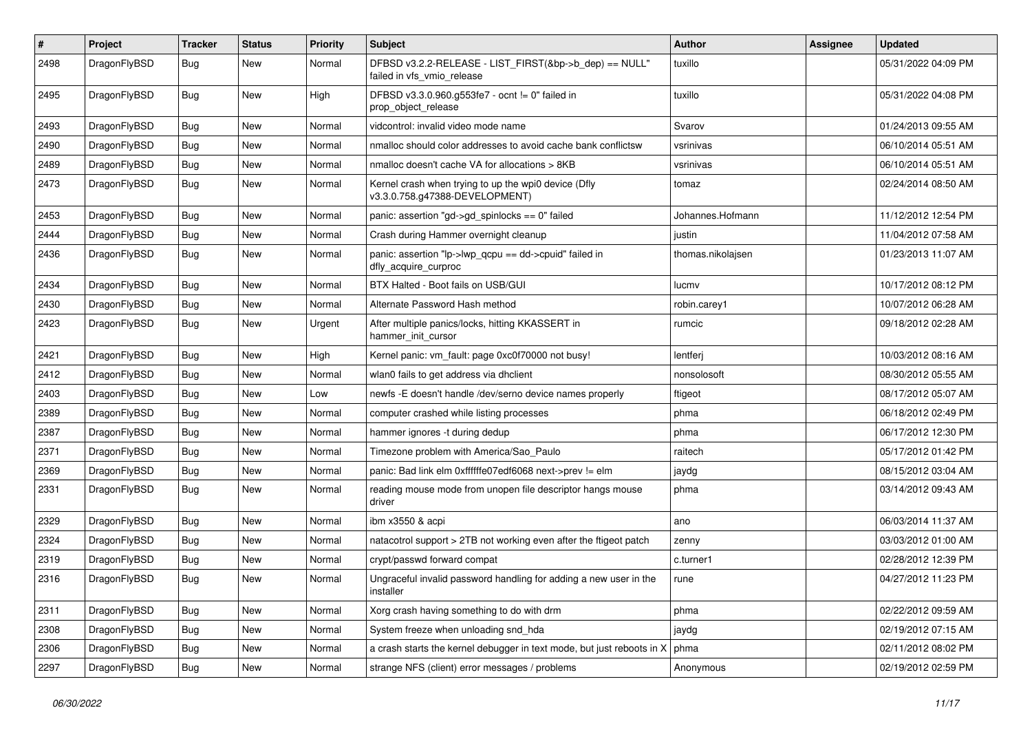| $\pmb{\#}$ | Project      | <b>Tracker</b> | <b>Status</b> | <b>Priority</b> | Subject                                                                                | Author            | Assignee | <b>Updated</b>      |
|------------|--------------|----------------|---------------|-----------------|----------------------------------------------------------------------------------------|-------------------|----------|---------------------|
| 2498       | DragonFlyBSD | Bug            | New           | Normal          | DFBSD v3.2.2-RELEASE - LIST_FIRST(&bp->b_dep) == NULL"<br>failed in vfs_vmio_release   | tuxillo           |          | 05/31/2022 04:09 PM |
| 2495       | DragonFlyBSD | <b>Bug</b>     | <b>New</b>    | High            | DFBSD v3.3.0.960.g553fe7 - ocnt != 0" failed in<br>prop_object_release                 | tuxillo           |          | 05/31/2022 04:08 PM |
| 2493       | DragonFlyBSD | <b>Bug</b>     | <b>New</b>    | Normal          | vidcontrol: invalid video mode name                                                    | Svarov            |          | 01/24/2013 09:55 AM |
| 2490       | DragonFlyBSD | <b>Bug</b>     | New           | Normal          | nmalloc should color addresses to avoid cache bank conflictsw                          | vsrinivas         |          | 06/10/2014 05:51 AM |
| 2489       | DragonFlyBSD | Bug            | New           | Normal          | nmalloc doesn't cache VA for allocations > 8KB                                         | vsrinivas         |          | 06/10/2014 05:51 AM |
| 2473       | DragonFlyBSD | Bug            | New           | Normal          | Kernel crash when trying to up the wpi0 device (Dfly<br>v3.3.0.758.g47388-DEVELOPMENT) | tomaz             |          | 02/24/2014 08:50 AM |
| 2453       | DragonFlyBSD | <b>Bug</b>     | <b>New</b>    | Normal          | panic: assertion "gd->gd_spinlocks == 0" failed                                        | Johannes.Hofmann  |          | 11/12/2012 12:54 PM |
| 2444       | DragonFlyBSD | <b>Bug</b>     | New           | Normal          | Crash during Hammer overnight cleanup                                                  | justin            |          | 11/04/2012 07:58 AM |
| 2436       | DragonFlyBSD | Bug            | New           | Normal          | panic: assertion "lp->lwp_qcpu == dd->cpuid" failed in<br>dfly_acquire_curproc         | thomas.nikolajsen |          | 01/23/2013 11:07 AM |
| 2434       | DragonFlyBSD | <b>Bug</b>     | <b>New</b>    | Normal          | BTX Halted - Boot fails on USB/GUI                                                     | lucmy             |          | 10/17/2012 08:12 PM |
| 2430       | DragonFlyBSD | Bug            | <b>New</b>    | Normal          | Alternate Password Hash method                                                         | robin.carey1      |          | 10/07/2012 06:28 AM |
| 2423       | DragonFlyBSD | <b>Bug</b>     | New           | Urgent          | After multiple panics/locks, hitting KKASSERT in<br>hammer init cursor                 | rumcic            |          | 09/18/2012 02:28 AM |
| 2421       | DragonFlyBSD | <b>Bug</b>     | <b>New</b>    | High            | Kernel panic: vm_fault: page 0xc0f70000 not busy!                                      | lentferj          |          | 10/03/2012 08:16 AM |
| 2412       | DragonFlyBSD | <b>Bug</b>     | New           | Normal          | wlan0 fails to get address via dhclient                                                | nonsolosoft       |          | 08/30/2012 05:55 AM |
| 2403       | DragonFlyBSD | Bug            | <b>New</b>    | Low             | newfs -E doesn't handle /dev/serno device names properly                               | ftigeot           |          | 08/17/2012 05:07 AM |
| 2389       | DragonFlyBSD | Bug            | New           | Normal          | computer crashed while listing processes                                               | phma              |          | 06/18/2012 02:49 PM |
| 2387       | DragonFlyBSD | <b>Bug</b>     | New           | Normal          | hammer ignores -t during dedup                                                         | phma              |          | 06/17/2012 12:30 PM |
| 2371       | DragonFlyBSD | <b>Bug</b>     | <b>New</b>    | Normal          | Timezone problem with America/Sao_Paulo                                                | raitech           |          | 05/17/2012 01:42 PM |
| 2369       | DragonFlyBSD | <b>Bug</b>     | New           | Normal          | panic: Bad link elm 0xffffffe07edf6068 next->prev != elm                               | jaydg             |          | 08/15/2012 03:04 AM |
| 2331       | DragonFlyBSD | Bug            | New           | Normal          | reading mouse mode from unopen file descriptor hangs mouse<br>driver                   | phma              |          | 03/14/2012 09:43 AM |
| 2329       | DragonFlyBSD | <b>Bug</b>     | <b>New</b>    | Normal          | ibm x3550 & acpi                                                                       | ano               |          | 06/03/2014 11:37 AM |
| 2324       | DragonFlyBSD | Bug            | <b>New</b>    | Normal          | natacotrol support > 2TB not working even after the ftigeot patch                      | zenny             |          | 03/03/2012 01:00 AM |
| 2319       | DragonFlyBSD | Bug            | New           | Normal          | crypt/passwd forward compat                                                            | c.turner1         |          | 02/28/2012 12:39 PM |
| 2316       | DragonFlyBSD | <b>Bug</b>     | New           | Normal          | Ungraceful invalid password handling for adding a new user in the<br>installer         | rune              |          | 04/27/2012 11:23 PM |
| 2311       | DragonFlyBSD | <b>Bug</b>     | New           | Normal          | Xorg crash having something to do with drm                                             | phma              |          | 02/22/2012 09:59 AM |
| 2308       | DragonFlyBSD | Bug            | New           | Normal          | System freeze when unloading snd_hda                                                   | jaydg             |          | 02/19/2012 07:15 AM |
| 2306       | DragonFlyBSD | <b>Bug</b>     | New           | Normal          | a crash starts the kernel debugger in text mode, but just reboots in X                 | phma              |          | 02/11/2012 08:02 PM |
| 2297       | DragonFlyBSD | <b>Bug</b>     | New           | Normal          | strange NFS (client) error messages / problems                                         | Anonymous         |          | 02/19/2012 02:59 PM |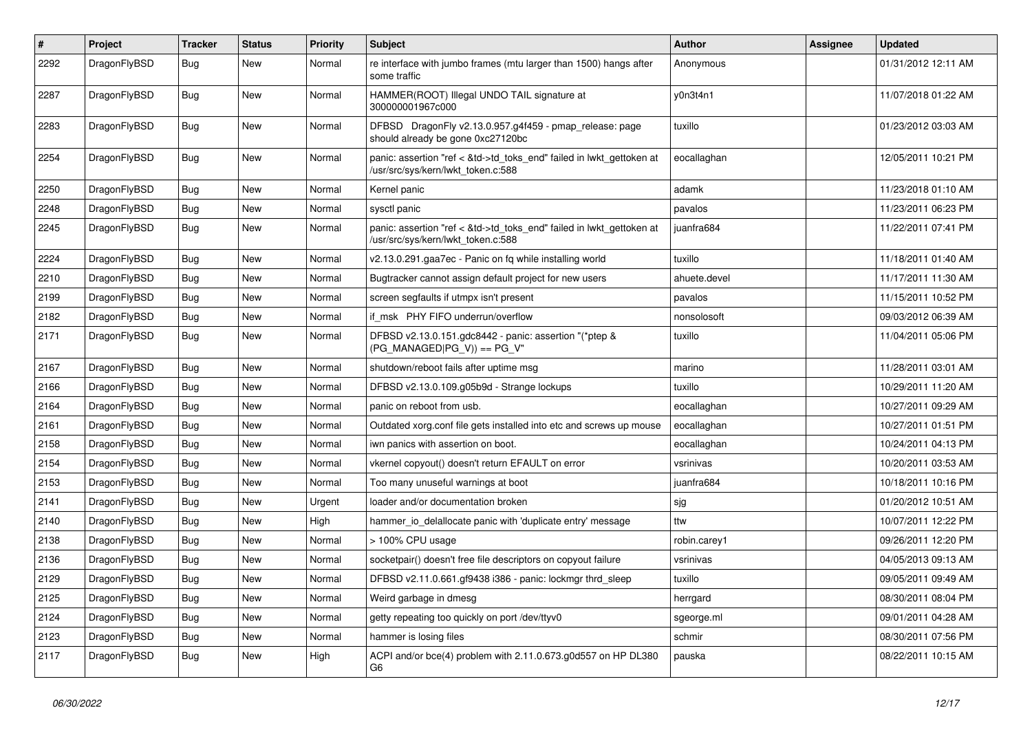| $\#$ | Project      | <b>Tracker</b> | <b>Status</b> | <b>Priority</b> | Subject                                                                                                    | <b>Author</b> | <b>Assignee</b> | <b>Updated</b>      |
|------|--------------|----------------|---------------|-----------------|------------------------------------------------------------------------------------------------------------|---------------|-----------------|---------------------|
| 2292 | DragonFlyBSD | Bug            | New           | Normal          | re interface with jumbo frames (mtu larger than 1500) hangs after<br>some traffic                          | Anonymous     |                 | 01/31/2012 12:11 AM |
| 2287 | DragonFlyBSD | <b>Bug</b>     | New           | Normal          | HAMMER(ROOT) Illegal UNDO TAIL signature at<br>300000001967c000                                            | y0n3t4n1      |                 | 11/07/2018 01:22 AM |
| 2283 | DragonFlyBSD | Bug            | <b>New</b>    | Normal          | DFBSD DragonFly v2.13.0.957.g4f459 - pmap_release: page<br>should already be gone 0xc27120bc               | tuxillo       |                 | 01/23/2012 03:03 AM |
| 2254 | DragonFlyBSD | Bug            | <b>New</b>    | Normal          | panic: assertion "ref < &td->td_toks_end" failed in lwkt_gettoken at<br>/usr/src/sys/kern/lwkt_token.c:588 | eocallaghan   |                 | 12/05/2011 10:21 PM |
| 2250 | DragonFlyBSD | Bug            | <b>New</b>    | Normal          | Kernel panic                                                                                               | adamk         |                 | 11/23/2018 01:10 AM |
| 2248 | DragonFlyBSD | Bug            | <b>New</b>    | Normal          | sysctl panic                                                                                               | pavalos       |                 | 11/23/2011 06:23 PM |
| 2245 | DragonFlyBSD | Bug            | <b>New</b>    | Normal          | panic: assertion "ref < &td->td_toks_end" failed in lwkt_gettoken at<br>/usr/src/sys/kern/lwkt token.c:588 | juanfra684    |                 | 11/22/2011 07:41 PM |
| 2224 | DragonFlyBSD | Bug            | <b>New</b>    | Normal          | v2.13.0.291.gaa7ec - Panic on fq while installing world                                                    | tuxillo       |                 | 11/18/2011 01:40 AM |
| 2210 | DragonFlyBSD | Bug            | New           | Normal          | Bugtracker cannot assign default project for new users                                                     | ahuete.devel  |                 | 11/17/2011 11:30 AM |
| 2199 | DragonFlyBSD | Bug            | New           | Normal          | screen segfaults if utmpx isn't present                                                                    | pavalos       |                 | 11/15/2011 10:52 PM |
| 2182 | DragonFlyBSD | <b>Bug</b>     | New           | Normal          | if msk PHY FIFO underrun/overflow                                                                          | nonsolosoft   |                 | 09/03/2012 06:39 AM |
| 2171 | DragonFlyBSD | Bug            | <b>New</b>    | Normal          | DFBSD v2.13.0.151.gdc8442 - panic: assertion "(*ptep &<br>$(PG_MANAGED PG_V)) == PG_V"$                    | tuxillo       |                 | 11/04/2011 05:06 PM |
| 2167 | DragonFlyBSD | Bug            | New           | Normal          | shutdown/reboot fails after uptime msq                                                                     | marino        |                 | 11/28/2011 03:01 AM |
| 2166 | DragonFlyBSD | Bug            | New           | Normal          | DFBSD v2.13.0.109.g05b9d - Strange lockups                                                                 | tuxillo       |                 | 10/29/2011 11:20 AM |
| 2164 | DragonFlyBSD | Bug            | New           | Normal          | panic on reboot from usb.                                                                                  | eocallaghan   |                 | 10/27/2011 09:29 AM |
| 2161 | DragonFlyBSD | Bug            | New           | Normal          | Outdated xorg.conf file gets installed into etc and screws up mouse                                        | eocallaghan   |                 | 10/27/2011 01:51 PM |
| 2158 | DragonFlyBSD | Bug            | New           | Normal          | iwn panics with assertion on boot.                                                                         | eocallaghan   |                 | 10/24/2011 04:13 PM |
| 2154 | DragonFlyBSD | Bug            | <b>New</b>    | Normal          | vkernel copyout() doesn't return EFAULT on error                                                           | vsrinivas     |                 | 10/20/2011 03:53 AM |
| 2153 | DragonFlyBSD | <b>Bug</b>     | New           | Normal          | Too many unuseful warnings at boot                                                                         | juanfra684    |                 | 10/18/2011 10:16 PM |
| 2141 | DragonFlyBSD | Bug            | New           | Urgent          | loader and/or documentation broken                                                                         | sjg           |                 | 01/20/2012 10:51 AM |
| 2140 | DragonFlyBSD | <b>Bug</b>     | New           | High            | hammer io delallocate panic with 'duplicate entry' message                                                 | ttw           |                 | 10/07/2011 12:22 PM |
| 2138 | DragonFlyBSD | Bug            | <b>New</b>    | Normal          | > 100% CPU usage                                                                                           | robin.carey1  |                 | 09/26/2011 12:20 PM |
| 2136 | DragonFlyBSD | <b>Bug</b>     | New           | Normal          | socketpair() doesn't free file descriptors on copyout failure                                              | vsrinivas     |                 | 04/05/2013 09:13 AM |
| 2129 | DragonFlyBSD | Bug            | <b>New</b>    | Normal          | DFBSD v2.11.0.661.gf9438 i386 - panic: lockmgr thrd sleep                                                  | tuxillo       |                 | 09/05/2011 09:49 AM |
| 2125 | DragonFlyBSD | <b>Bug</b>     | New           | Normal          | Weird garbage in dmesg                                                                                     | herrgard      |                 | 08/30/2011 08:04 PM |
| 2124 | DragonFlyBSD | <b>Bug</b>     | New           | Normal          | getty repeating too quickly on port /dev/ttyv0                                                             | sgeorge.ml    |                 | 09/01/2011 04:28 AM |
| 2123 | DragonFlyBSD | <b>Bug</b>     | New           | Normal          | hammer is losing files                                                                                     | schmir        |                 | 08/30/2011 07:56 PM |
| 2117 | DragonFlyBSD | <b>Bug</b>     | New           | High            | ACPI and/or bce(4) problem with 2.11.0.673.g0d557 on HP DL380<br>G6                                        | pauska        |                 | 08/22/2011 10:15 AM |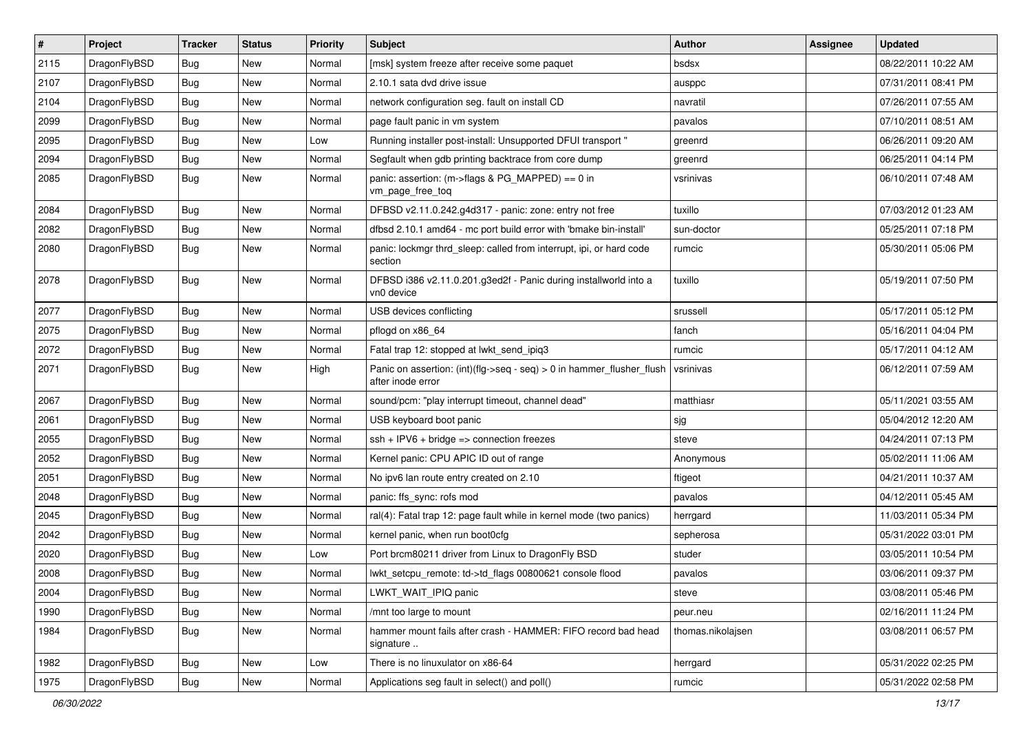| $\sharp$ | Project      | <b>Tracker</b> | <b>Status</b> | <b>Priority</b> | Subject                                                                                    | <b>Author</b>     | Assignee | <b>Updated</b>      |
|----------|--------------|----------------|---------------|-----------------|--------------------------------------------------------------------------------------------|-------------------|----------|---------------------|
| 2115     | DragonFlyBSD | <b>Bug</b>     | New           | Normal          | [msk] system freeze after receive some paquet                                              | bsdsx             |          | 08/22/2011 10:22 AM |
| 2107     | DragonFlyBSD | Bug            | New           | Normal          | 2.10.1 sata dvd drive issue                                                                | ausppc            |          | 07/31/2011 08:41 PM |
| 2104     | DragonFlyBSD | <b>Bug</b>     | New           | Normal          | network configuration seg. fault on install CD                                             | navratil          |          | 07/26/2011 07:55 AM |
| 2099     | DragonFlyBSD | <b>Bug</b>     | <b>New</b>    | Normal          | page fault panic in vm system                                                              | pavalos           |          | 07/10/2011 08:51 AM |
| 2095     | DragonFlyBSD | <b>Bug</b>     | New           | Low             | Running installer post-install: Unsupported DFUI transport "                               | greenrd           |          | 06/26/2011 09:20 AM |
| 2094     | DragonFlyBSD | <b>Bug</b>     | <b>New</b>    | Normal          | Segfault when gdb printing backtrace from core dump                                        | greenrd           |          | 06/25/2011 04:14 PM |
| 2085     | DragonFlyBSD | <b>Bug</b>     | New           | Normal          | panic: assertion: (m->flags & PG_MAPPED) == 0 in<br>vm_page_free_toq                       | vsrinivas         |          | 06/10/2011 07:48 AM |
| 2084     | DragonFlyBSD | Bug            | New           | Normal          | DFBSD v2.11.0.242.g4d317 - panic: zone: entry not free                                     | tuxillo           |          | 07/03/2012 01:23 AM |
| 2082     | DragonFlyBSD | Bug            | <b>New</b>    | Normal          | dfbsd 2.10.1 amd64 - mc port build error with 'bmake bin-install'                          | sun-doctor        |          | 05/25/2011 07:18 PM |
| 2080     | DragonFlyBSD | <b>Bug</b>     | New           | Normal          | panic: lockmgr thrd sleep: called from interrupt, ipi, or hard code<br>section             | rumcic            |          | 05/30/2011 05:06 PM |
| 2078     | DragonFlyBSD | <b>Bug</b>     | New           | Normal          | DFBSD i386 v2.11.0.201.g3ed2f - Panic during installworld into a<br>vn0 device             | tuxillo           |          | 05/19/2011 07:50 PM |
| 2077     | DragonFlyBSD | Bug            | New           | Normal          | USB devices conflicting                                                                    | srussell          |          | 05/17/2011 05:12 PM |
| 2075     | DragonFlyBSD | <b>Bug</b>     | <b>New</b>    | Normal          | pflogd on x86 64                                                                           | fanch             |          | 05/16/2011 04:04 PM |
| 2072     | DragonFlyBSD | Bug            | New           | Normal          | Fatal trap 12: stopped at lwkt_send_ipiq3                                                  | rumcic            |          | 05/17/2011 04:12 AM |
| 2071     | DragonFlyBSD | Bug            | New           | High            | Panic on assertion: (int)(flg->seq - seq) > 0 in hammer flusher flush<br>after inode error | vsrinivas         |          | 06/12/2011 07:59 AM |
| 2067     | DragonFlyBSD | Bug            | New           | Normal          | sound/pcm: "play interrupt timeout, channel dead"                                          | matthiasr         |          | 05/11/2021 03:55 AM |
| 2061     | DragonFlyBSD | Bug            | <b>New</b>    | Normal          | USB keyboard boot panic                                                                    | sjg               |          | 05/04/2012 12:20 AM |
| 2055     | DragonFlyBSD | <b>Bug</b>     | <b>New</b>    | Normal          | $ssh + IPV6 + bridge \Rightarrow$ connection freezes                                       | steve             |          | 04/24/2011 07:13 PM |
| 2052     | DragonFlyBSD | Bug            | New           | Normal          | Kernel panic: CPU APIC ID out of range                                                     | Anonymous         |          | 05/02/2011 11:06 AM |
| 2051     | DragonFlyBSD | Bug            | <b>New</b>    | Normal          | No ipv6 lan route entry created on 2.10                                                    | ftigeot           |          | 04/21/2011 10:37 AM |
| 2048     | DragonFlyBSD | Bug            | New           | Normal          | panic: ffs_sync: rofs mod                                                                  | pavalos           |          | 04/12/2011 05:45 AM |
| 2045     | DragonFlyBSD | Bug            | New           | Normal          | ral(4): Fatal trap 12: page fault while in kernel mode (two panics)                        | herrgard          |          | 11/03/2011 05:34 PM |
| 2042     | DragonFlyBSD | <b>Bug</b>     | New           | Normal          | kernel panic, when run boot0cfg                                                            | sepherosa         |          | 05/31/2022 03:01 PM |
| 2020     | DragonFlyBSD | Bug            | <b>New</b>    | Low             | Port brcm80211 driver from Linux to DragonFly BSD                                          | studer            |          | 03/05/2011 10:54 PM |
| 2008     | DragonFlyBSD | <b>Bug</b>     | New           | Normal          | lwkt setcpu remote: td->td flags 00800621 console flood                                    | pavalos           |          | 03/06/2011 09:37 PM |
| 2004     | DragonFlyBSD | <b>Bug</b>     | New           | Normal          | LWKT_WAIT_IPIQ panic                                                                       | steve             |          | 03/08/2011 05:46 PM |
| 1990     | DragonFlyBSD | <b>Bug</b>     | <b>New</b>    | Normal          | /mnt too large to mount                                                                    | peur.neu          |          | 02/16/2011 11:24 PM |
| 1984     | DragonFlyBSD | <b>Bug</b>     | New           | Normal          | hammer mount fails after crash - HAMMER: FIFO record bad head<br>signature                 | thomas.nikolajsen |          | 03/08/2011 06:57 PM |
| 1982     | DragonFlyBSD | <b>Bug</b>     | <b>New</b>    | Low             | There is no linuxulator on x86-64                                                          | herrgard          |          | 05/31/2022 02:25 PM |
| 1975     | DragonFlyBSD | Bug            | New           | Normal          | Applications seg fault in select() and poll()                                              | rumcic            |          | 05/31/2022 02:58 PM |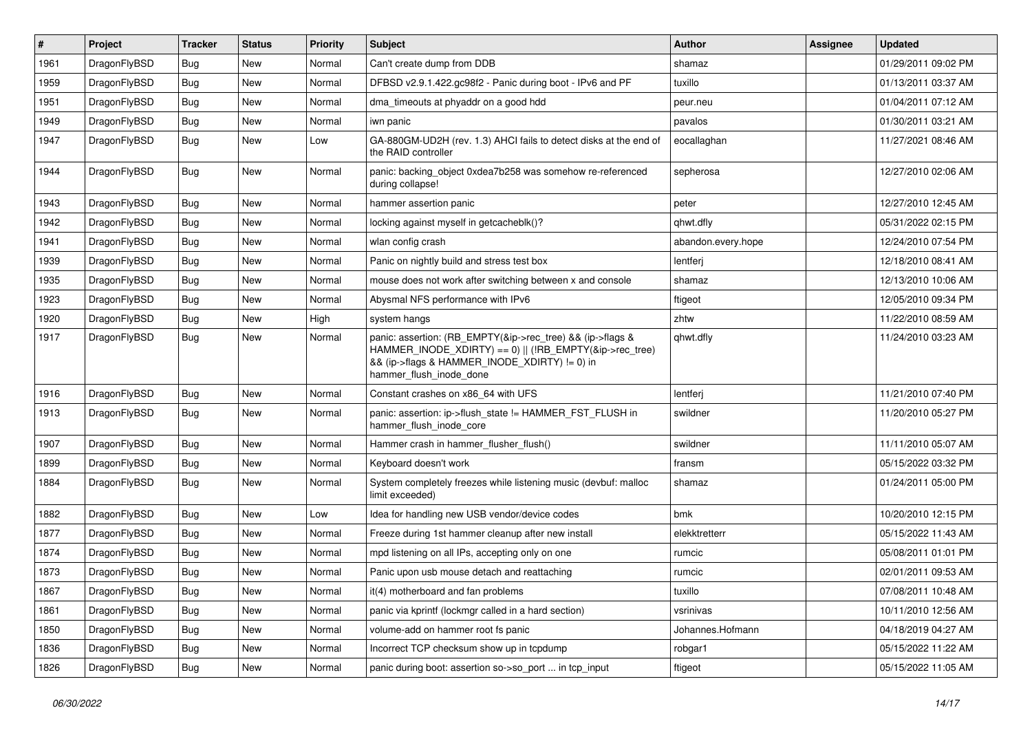| #    | Project      | <b>Tracker</b> | <b>Status</b> | <b>Priority</b> | Subject                                                                                                                                                                                           | <b>Author</b>      | Assignee | <b>Updated</b>      |
|------|--------------|----------------|---------------|-----------------|---------------------------------------------------------------------------------------------------------------------------------------------------------------------------------------------------|--------------------|----------|---------------------|
| 1961 | DragonFlyBSD | <b>Bug</b>     | <b>New</b>    | Normal          | Can't create dump from DDB                                                                                                                                                                        | shamaz             |          | 01/29/2011 09:02 PM |
| 1959 | DragonFlyBSD | <b>Bug</b>     | <b>New</b>    | Normal          | DFBSD v2.9.1.422.gc98f2 - Panic during boot - IPv6 and PF                                                                                                                                         | tuxillo            |          | 01/13/2011 03:37 AM |
| 1951 | DragonFlyBSD | <b>Bug</b>     | New           | Normal          | dma timeouts at phyaddr on a good hdd                                                                                                                                                             | peur.neu           |          | 01/04/2011 07:12 AM |
| 1949 | DragonFlyBSD | Bug            | New           | Normal          | iwn panic                                                                                                                                                                                         | pavalos            |          | 01/30/2011 03:21 AM |
| 1947 | DragonFlyBSD | Bug            | New           | Low             | GA-880GM-UD2H (rev. 1.3) AHCI fails to detect disks at the end of<br>the RAID controller                                                                                                          | eocallaghan        |          | 11/27/2021 08:46 AM |
| 1944 | DragonFlyBSD | <b>Bug</b>     | New           | Normal          | panic: backing object 0xdea7b258 was somehow re-referenced<br>during collapse!                                                                                                                    | sepherosa          |          | 12/27/2010 02:06 AM |
| 1943 | DragonFlyBSD | <b>Bug</b>     | <b>New</b>    | Normal          | hammer assertion panic                                                                                                                                                                            | peter              |          | 12/27/2010 12:45 AM |
| 1942 | DragonFlyBSD | <b>Bug</b>     | New           | Normal          | locking against myself in getcacheblk()?                                                                                                                                                          | qhwt.dfly          |          | 05/31/2022 02:15 PM |
| 1941 | DragonFlyBSD | <b>Bug</b>     | New           | Normal          | wlan config crash                                                                                                                                                                                 | abandon.every.hope |          | 12/24/2010 07:54 PM |
| 1939 | DragonFlyBSD | Bug            | New           | Normal          | Panic on nightly build and stress test box                                                                                                                                                        | lentferj           |          | 12/18/2010 08:41 AM |
| 1935 | DragonFlyBSD | Bug            | New           | Normal          | mouse does not work after switching between x and console                                                                                                                                         | shamaz             |          | 12/13/2010 10:06 AM |
| 1923 | DragonFlyBSD | <b>Bug</b>     | New           | Normal          | Abysmal NFS performance with IPv6                                                                                                                                                                 | ftigeot            |          | 12/05/2010 09:34 PM |
| 1920 | DragonFlyBSD | <b>Bug</b>     | New           | High            | system hangs                                                                                                                                                                                      | zhtw               |          | 11/22/2010 08:59 AM |
| 1917 | DragonFlyBSD | <b>Bug</b>     | New           | Normal          | panic: assertion: (RB_EMPTY(&ip->rec_tree) && (ip->flags &<br>HAMMER_INODE_XDIRTY) == 0)    (!RB_EMPTY(&ip->rec_tree)<br>&& (ip->flags & HAMMER INODE XDIRTY) != 0) in<br>hammer_flush_inode_done | qhwt.dfly          |          | 11/24/2010 03:23 AM |
| 1916 | DragonFlyBSD | <b>Bug</b>     | <b>New</b>    | Normal          | Constant crashes on x86 64 with UFS                                                                                                                                                               | lentferj           |          | 11/21/2010 07:40 PM |
| 1913 | DragonFlyBSD | <b>Bug</b>     | New           | Normal          | panic: assertion: ip->flush_state != HAMMER_FST_FLUSH in<br>hammer_flush_inode_core                                                                                                               | swildner           |          | 11/20/2010 05:27 PM |
| 1907 | DragonFlyBSD | <b>Bug</b>     | <b>New</b>    | Normal          | Hammer crash in hammer flusher flush()                                                                                                                                                            | swildner           |          | 11/11/2010 05:07 AM |
| 1899 | DragonFlyBSD | <b>Bug</b>     | New           | Normal          | Keyboard doesn't work                                                                                                                                                                             | fransm             |          | 05/15/2022 03:32 PM |
| 1884 | DragonFlyBSD | Bug            | New           | Normal          | System completely freezes while listening music (devbuf: malloc<br>limit exceeded)                                                                                                                | shamaz             |          | 01/24/2011 05:00 PM |
| 1882 | DragonFlyBSD | <b>Bug</b>     | <b>New</b>    | Low             | Idea for handling new USB vendor/device codes                                                                                                                                                     | bmk                |          | 10/20/2010 12:15 PM |
| 1877 | DragonFlyBSD | Bug            | New           | Normal          | Freeze during 1st hammer cleanup after new install                                                                                                                                                | elekktretterr      |          | 05/15/2022 11:43 AM |
| 1874 | DragonFlyBSD | <b>Bug</b>     | New           | Normal          | mpd listening on all IPs, accepting only on one                                                                                                                                                   | rumcic             |          | 05/08/2011 01:01 PM |
| 1873 | DragonFlyBSD | <b>Bug</b>     | New           | Normal          | Panic upon usb mouse detach and reattaching                                                                                                                                                       | rumcic             |          | 02/01/2011 09:53 AM |
| 1867 | DragonFlyBSD | <b>Bug</b>     | New           | Normal          | it(4) motherboard and fan problems                                                                                                                                                                | tuxillo            |          | 07/08/2011 10:48 AM |
| 1861 | DragonFlyBSD | Bug            | New           | Normal          | panic via kprintf (lockmgr called in a hard section)                                                                                                                                              | vsrinivas          |          | 10/11/2010 12:56 AM |
| 1850 | DragonFlyBSD | <b>Bug</b>     | New           | Normal          | volume-add on hammer root fs panic                                                                                                                                                                | Johannes.Hofmann   |          | 04/18/2019 04:27 AM |
| 1836 | DragonFlyBSD | <b>Bug</b>     | New           | Normal          | Incorrect TCP checksum show up in tcpdump                                                                                                                                                         | robgar1            |          | 05/15/2022 11:22 AM |
| 1826 | DragonFlyBSD | <b>Bug</b>     | New           | Normal          | panic during boot: assertion so->so_port  in tcp_input                                                                                                                                            | ftigeot            |          | 05/15/2022 11:05 AM |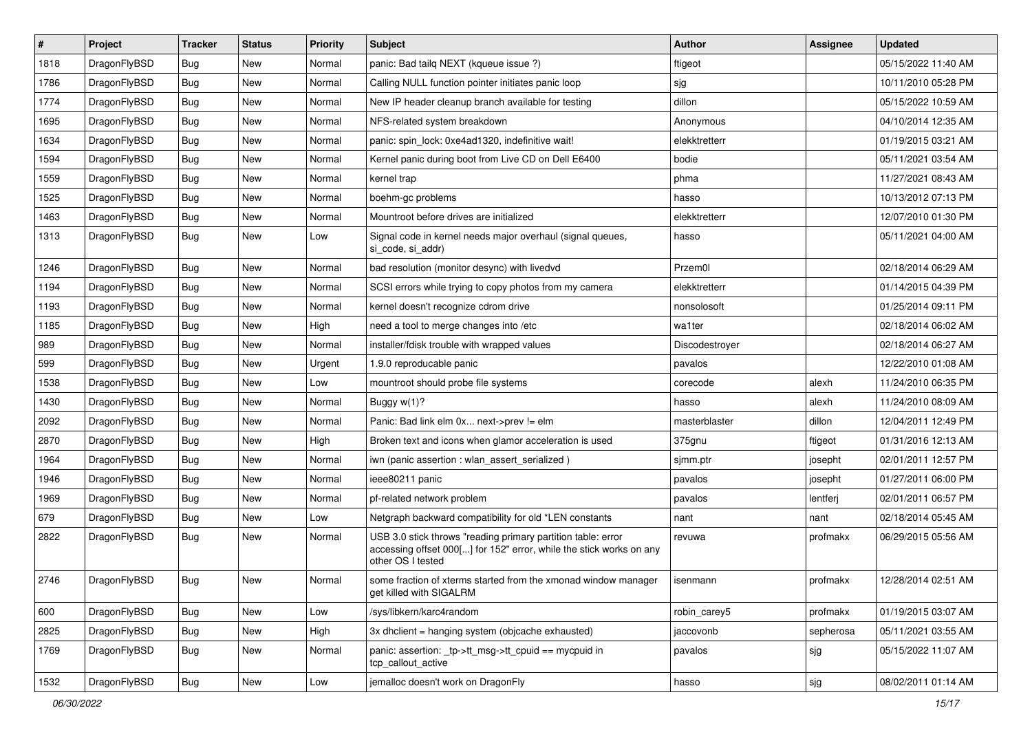| $\vert$ # | Project      | <b>Tracker</b> | <b>Status</b> | <b>Priority</b> | <b>Subject</b>                                                                                                                                           | Author         | Assignee  | <b>Updated</b>      |
|-----------|--------------|----------------|---------------|-----------------|----------------------------------------------------------------------------------------------------------------------------------------------------------|----------------|-----------|---------------------|
| 1818      | DragonFlyBSD | <b>Bug</b>     | <b>New</b>    | Normal          | panic: Bad tailq NEXT (kqueue issue ?)                                                                                                                   | ftigeot        |           | 05/15/2022 11:40 AM |
| 1786      | DragonFlyBSD | Bug            | <b>New</b>    | Normal          | Calling NULL function pointer initiates panic loop                                                                                                       | sjg            |           | 10/11/2010 05:28 PM |
| 1774      | DragonFlyBSD | <b>Bug</b>     | <b>New</b>    | Normal          | New IP header cleanup branch available for testing                                                                                                       | dillon         |           | 05/15/2022 10:59 AM |
| 1695      | DragonFlyBSD | Bug            | <b>New</b>    | Normal          | NFS-related system breakdown                                                                                                                             | Anonymous      |           | 04/10/2014 12:35 AM |
| 1634      | DragonFlyBSD | <b>Bug</b>     | <b>New</b>    | Normal          | panic: spin lock: 0xe4ad1320, indefinitive wait!                                                                                                         | elekktretterr  |           | 01/19/2015 03:21 AM |
| 1594      | DragonFlyBSD | <b>Bug</b>     | New           | Normal          | Kernel panic during boot from Live CD on Dell E6400                                                                                                      | bodie          |           | 05/11/2021 03:54 AM |
| 1559      | DragonFlyBSD | Bug            | <b>New</b>    | Normal          | kernel trap                                                                                                                                              | phma           |           | 11/27/2021 08:43 AM |
| 1525      | DragonFlyBSD | <b>Bug</b>     | New           | Normal          | boehm-gc problems                                                                                                                                        | hasso          |           | 10/13/2012 07:13 PM |
| 1463      | DragonFlyBSD | Bug            | <b>New</b>    | Normal          | Mountroot before drives are initialized                                                                                                                  | elekktretterr  |           | 12/07/2010 01:30 PM |
| 1313      | DragonFlyBSD | Bug            | New           | Low             | Signal code in kernel needs major overhaul (signal queues,<br>si_code, si_addr)                                                                          | hasso          |           | 05/11/2021 04:00 AM |
| 1246      | DragonFlyBSD | Bug            | <b>New</b>    | Normal          | bad resolution (monitor desync) with livedvd                                                                                                             | Przem0l        |           | 02/18/2014 06:29 AM |
| 1194      | DragonFlyBSD | Bug            | <b>New</b>    | Normal          | SCSI errors while trying to copy photos from my camera                                                                                                   | elekktretterr  |           | 01/14/2015 04:39 PM |
| 1193      | DragonFlyBSD | <b>Bug</b>     | New           | Normal          | kernel doesn't recognize cdrom drive                                                                                                                     | nonsolosoft    |           | 01/25/2014 09:11 PM |
| 1185      | DragonFlyBSD | Bug            | <b>New</b>    | High            | need a tool to merge changes into /etc                                                                                                                   | wa1ter         |           | 02/18/2014 06:02 AM |
| 989       | DragonFlyBSD | <b>Bug</b>     | New           | Normal          | installer/fdisk trouble with wrapped values                                                                                                              | Discodestroyer |           | 02/18/2014 06:27 AM |
| 599       | DragonFlyBSD | <b>Bug</b>     | <b>New</b>    | Urgent          | 1.9.0 reproducable panic                                                                                                                                 | pavalos        |           | 12/22/2010 01:08 AM |
| 1538      | DragonFlyBSD | <b>Bug</b>     | <b>New</b>    | Low             | mountroot should probe file systems                                                                                                                      | corecode       | alexh     | 11/24/2010 06:35 PM |
| 1430      | DragonFlyBSD | <b>Bug</b>     | <b>New</b>    | Normal          | Buggy $w(1)$ ?                                                                                                                                           | hasso          | alexh     | 11/24/2010 08:09 AM |
| 2092      | DragonFlyBSD | Bug            | <b>New</b>    | Normal          | Panic: Bad link elm 0x next->prev != elm                                                                                                                 | masterblaster  | dillon    | 12/04/2011 12:49 PM |
| 2870      | DragonFlyBSD | Bug            | <b>New</b>    | High            | Broken text and icons when glamor acceleration is used                                                                                                   | 375gnu         | ftigeot   | 01/31/2016 12:13 AM |
| 1964      | DragonFlyBSD | <b>Bug</b>     | New           | Normal          | iwn (panic assertion : wlan_assert_serialized)                                                                                                           | sjmm.ptr       | josepht   | 02/01/2011 12:57 PM |
| 1946      | DragonFlyBSD | <b>Bug</b>     | New           | Normal          | ieee80211 panic                                                                                                                                          | pavalos        | josepht   | 01/27/2011 06:00 PM |
| 1969      | DragonFlyBSD | <b>Bug</b>     | <b>New</b>    | Normal          | pf-related network problem                                                                                                                               | pavalos        | lentferj  | 02/01/2011 06:57 PM |
| 679       | DragonFlyBSD | Bug            | New           | Low             | Netgraph backward compatibility for old *LEN constants                                                                                                   | nant           | nant      | 02/18/2014 05:45 AM |
| 2822      | DragonFlyBSD | Bug            | <b>New</b>    | Normal          | USB 3.0 stick throws "reading primary partition table: error<br>accessing offset 000[] for 152" error, while the stick works on any<br>other OS I tested | revuwa         | profmakx  | 06/29/2015 05:56 AM |
| 2746      | DragonFlyBSD | Bug            | New           | Normal          | some fraction of xterms started from the xmonad window manager<br>get killed with SIGALRM                                                                | isenmann       | profmakx  | 12/28/2014 02:51 AM |
| 600       | DragonFlyBSD | <b>Bug</b>     | New           | Low             | /sys/libkern/karc4random                                                                                                                                 | robin_carey5   | profmakx  | 01/19/2015 03:07 AM |
| 2825      | DragonFlyBSD | <b>Bug</b>     | New           | High            | 3x dhclient = hanging system (objcache exhausted)                                                                                                        | jaccovonb      | sepherosa | 05/11/2021 03:55 AM |
| 1769      | DragonFlyBSD | <b>Bug</b>     | New           | Normal          | panic: assertion: _tp->tt_msg->tt_cpuid == mycpuid in<br>tcp_callout_active                                                                              | pavalos        | sjg       | 05/15/2022 11:07 AM |
| 1532      | DragonFlyBSD | <b>Bug</b>     | New           | Low             | jemalloc doesn't work on DragonFly                                                                                                                       | hasso          | sjg       | 08/02/2011 01:14 AM |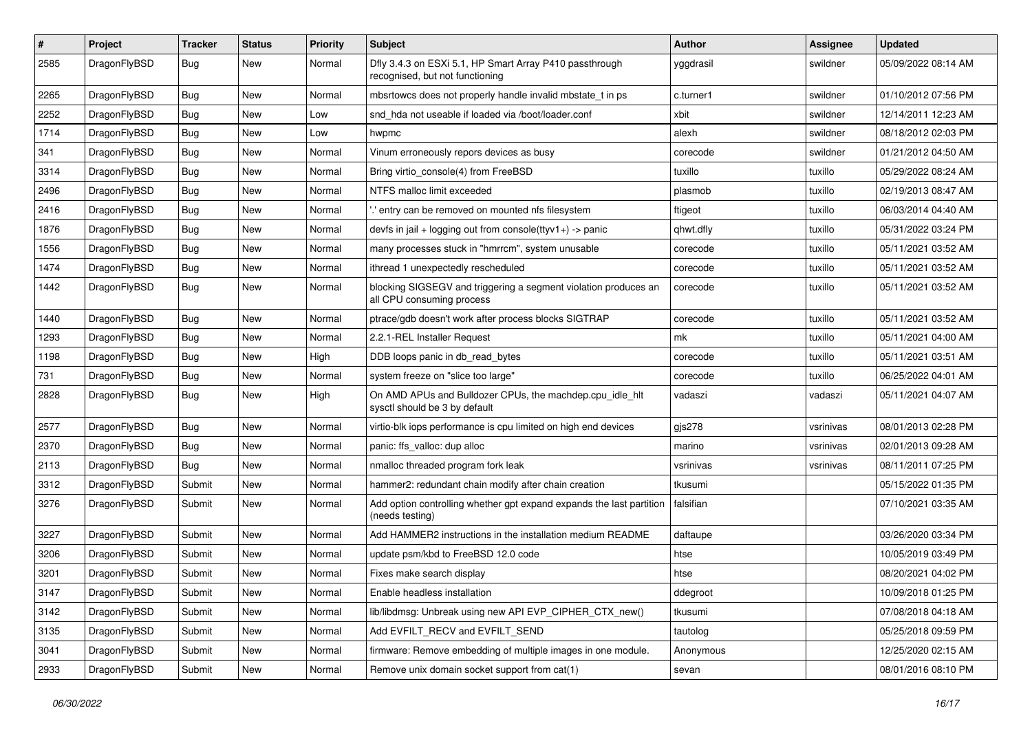| $\vert$ # | Project      | <b>Tracker</b> | <b>Status</b> | <b>Priority</b> | <b>Subject</b>                                                                               | Author    | Assignee  | <b>Updated</b>      |
|-----------|--------------|----------------|---------------|-----------------|----------------------------------------------------------------------------------------------|-----------|-----------|---------------------|
| 2585      | DragonFlyBSD | Bug            | New           | Normal          | Dfly 3.4.3 on ESXi 5.1, HP Smart Array P410 passthrough<br>recognised, but not functioning   | yggdrasil | swildner  | 05/09/2022 08:14 AM |
| 2265      | DragonFlyBSD | <b>Bug</b>     | <b>New</b>    | Normal          | mbsrtowcs does not properly handle invalid mbstate_t in ps                                   | c.turner1 | swildner  | 01/10/2012 07:56 PM |
| 2252      | DragonFlyBSD | Bug            | <b>New</b>    | Low             | snd hda not useable if loaded via /boot/loader.conf                                          | xbit      | swildner  | 12/14/2011 12:23 AM |
| 1714      | DragonFlyBSD | Bug            | <b>New</b>    | Low             | hwpmc                                                                                        | alexh     | swildner  | 08/18/2012 02:03 PM |
| 341       | DragonFlyBSD | <b>Bug</b>     | New           | Normal          | Vinum erroneously repors devices as busy                                                     | corecode  | swildner  | 01/21/2012 04:50 AM |
| 3314      | DragonFlyBSD | Bug            | <b>New</b>    | Normal          | Bring virtio_console(4) from FreeBSD                                                         | tuxillo   | tuxillo   | 05/29/2022 08:24 AM |
| 2496      | DragonFlyBSD | <b>Bug</b>     | New           | Normal          | NTFS malloc limit exceeded                                                                   | plasmob   | tuxillo   | 02/19/2013 08:47 AM |
| 2416      | DragonFlyBSD | Bug            | <b>New</b>    | Normal          | ' entry can be removed on mounted nfs filesystem                                             | ftigeot   | tuxillo   | 06/03/2014 04:40 AM |
| 1876      | DragonFlyBSD | Bug            | <b>New</b>    | Normal          | devfs in jail + logging out from console(ttyv1+) -> panic                                    | qhwt.dfly | tuxillo   | 05/31/2022 03:24 PM |
| 1556      | DragonFlyBSD | Bug            | <b>New</b>    | Normal          | many processes stuck in "hmrrcm", system unusable                                            | corecode  | tuxillo   | 05/11/2021 03:52 AM |
| 1474      | DragonFlyBSD | Bug            | <b>New</b>    | Normal          | ithread 1 unexpectedly rescheduled                                                           | corecode  | tuxillo   | 05/11/2021 03:52 AM |
| 1442      | DragonFlyBSD | Bug            | New           | Normal          | blocking SIGSEGV and triggering a segment violation produces an<br>all CPU consuming process | corecode  | tuxillo   | 05/11/2021 03:52 AM |
| 1440      | DragonFlyBSD | Bug            | <b>New</b>    | Normal          | ptrace/gdb doesn't work after process blocks SIGTRAP                                         | corecode  | tuxillo   | 05/11/2021 03:52 AM |
| 1293      | DragonFlyBSD | <b>Bug</b>     | New           | Normal          | 2.2.1-REL Installer Request                                                                  | mk        | tuxillo   | 05/11/2021 04:00 AM |
| 1198      | DragonFlyBSD | Bug            | <b>New</b>    | High            | DDB loops panic in db read bytes                                                             | corecode  | tuxillo   | 05/11/2021 03:51 AM |
| 731       | DragonFlyBSD | Bug            | <b>New</b>    | Normal          | system freeze on "slice too large"                                                           | corecode  | tuxillo   | 06/25/2022 04:01 AM |
| 2828      | DragonFlyBSD | Bug            | New           | High            | On AMD APUs and Bulldozer CPUs, the machdep.cpu_idle_hlt<br>sysctl should be 3 by default    | vadaszi   | vadaszi   | 05/11/2021 04:07 AM |
| 2577      | DragonFlyBSD | <b>Bug</b>     | <b>New</b>    | Normal          | virtio-blk iops performance is cpu limited on high end devices                               | gjs278    | vsrinivas | 08/01/2013 02:28 PM |
| 2370      | DragonFlyBSD | Bug            | <b>New</b>    | Normal          | panic: ffs_valloc: dup alloc                                                                 | marino    | vsrinivas | 02/01/2013 09:28 AM |
| 2113      | DragonFlyBSD | Bug            | <b>New</b>    | Normal          | nmalloc threaded program fork leak                                                           | vsrinivas | vsrinivas | 08/11/2011 07:25 PM |
| 3312      | DragonFlyBSD | Submit         | New           | Normal          | hammer2: redundant chain modify after chain creation                                         | tkusumi   |           | 05/15/2022 01:35 PM |
| 3276      | DragonFlyBSD | Submit         | New           | Normal          | Add option controlling whether gpt expand expands the last partition<br>(needs testing)      | falsifian |           | 07/10/2021 03:35 AM |
| 3227      | DragonFlyBSD | Submit         | New           | Normal          | Add HAMMER2 instructions in the installation medium README                                   | daftaupe  |           | 03/26/2020 03:34 PM |
| 3206      | DragonFlyBSD | Submit         | <b>New</b>    | Normal          | update psm/kbd to FreeBSD 12.0 code                                                          | htse      |           | 10/05/2019 03:49 PM |
| 3201      | DragonFlyBSD | Submit         | New           | Normal          | Fixes make search display                                                                    | htse      |           | 08/20/2021 04:02 PM |
| 3147      | DragonFlyBSD | Submit         | New           | Normal          | Enable headless installation                                                                 | ddegroot  |           | 10/09/2018 01:25 PM |
| 3142      | DragonFlyBSD | Submit         | New           | Normal          | lib/libdmsg: Unbreak using new API EVP_CIPHER_CTX_new()                                      | tkusumi   |           | 07/08/2018 04:18 AM |
| 3135      | DragonFlyBSD | Submit         | New           | Normal          | Add EVFILT_RECV and EVFILT_SEND                                                              | tautolog  |           | 05/25/2018 09:59 PM |
| 3041      | DragonFlyBSD | Submit         | New           | Normal          | firmware: Remove embedding of multiple images in one module.                                 | Anonymous |           | 12/25/2020 02:15 AM |
| 2933      | DragonFlyBSD | Submit         | New           | Normal          | Remove unix domain socket support from cat(1)                                                | sevan     |           | 08/01/2016 08:10 PM |